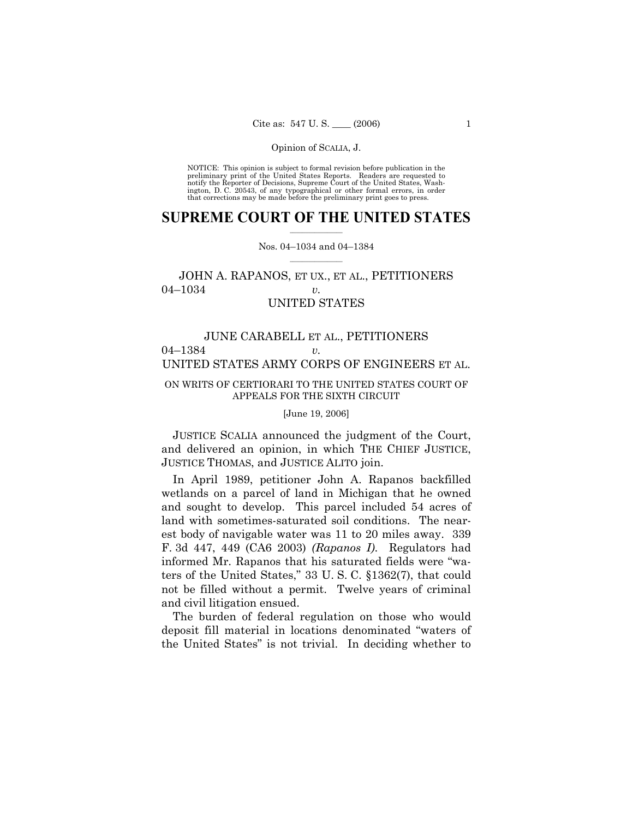NOTICE: This opinion is subject to formal revision before publication in the preliminary print of the United States Reports. Readers are requested to notify the Reporter of Decisions, Supreme Court of the United States, Washington, D. C. 20543, of any typographical or other formal errors, in order that corrections may be made before the preliminary print goes to press.

## **SUPREME COURT OF THE UNITED STATES**  $\frac{1}{2}$  ,  $\frac{1}{2}$  ,  $\frac{1}{2}$  ,  $\frac{1}{2}$  ,  $\frac{1}{2}$  ,  $\frac{1}{2}$  ,  $\frac{1}{2}$

## Nos. 04-1034 and 04-1384  $\mathcal{L}=\mathcal{L}$

# JOHN A. RAPANOS, ET UX., ET AL., PETITIONERS 04<sup>-1</sup>034 *v.* UNITED STATES

# JUNE CARABELL ET AL., PETITIONERS 04<sup> $-1384$ </sup> *v.* UNITED STATES ARMY CORPS OF ENGINEERS ET AL.

## ON WRITS OF CERTIORARI TO THE UNITED STATES COURT OF APPEALS FOR THE SIXTH CIRCUIT

## [June 19, 2006]

 JUSTICE SCALIA announced the judgment of the Court, and delivered an opinion, in which THE CHIEF JUSTICE, JUSTICE THOMAS, and JUSTICE ALITO join.

 In April 1989, petitioner John A. Rapanos backfilled wetlands on a parcel of land in Michigan that he owned and sought to develop. This parcel included 54 acres of land with sometimes-saturated soil conditions. The nearest body of navigable water was 11 to 20 miles away. 339 F. 3d 447, 449 (CA6 2003) *(Rapanos I)*. Regulators had informed Mr. Rapanos that his saturated fields were "waters of the United States,"  $33$  U. S. C.  $$1362(7)$ , that could not be filled without a permit. Twelve years of criminal and civil litigation ensued.

 The burden of federal regulation on those who would deposit fill material in locations denominated "waters of the United States" is not trivial. In deciding whether to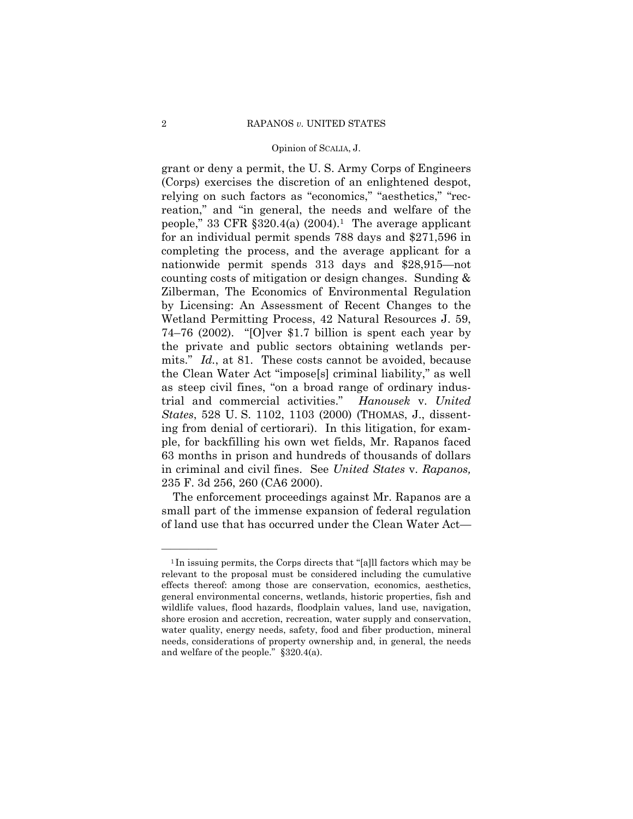grant or deny a permit, the U.S. Army Corps of Engineers (Corps) exercises the discretion of an enlightened despot, relying on such factors as "economics," "aesthetics," "recreation," and "in general, the needs and welfare of the people," 33 CFR  $\S 320.4(a)$  (2004).<sup>1</sup> The average applicant for an individual permit spends 788 days and \$271,596 in completing the process, and the average applicant for a nationwide permit spends 313 days and \$28,915—not counting costs of mitigation or design changes. Sunding & Zilberman, The Economics of Environmental Regulation by Licensing: An Assessment of Recent Changes to the Wetland Permitting Process, 42 Natural Resources J. 59, 74–76 (2002). "[O]ver \$1.7 billion is spent each year by the private and public sectors obtaining wetlands permits." *Id.*, at 81. These costs cannot be avoided, because the Clean Water Act "imposes" criminal liability," as well as steep civil fines, "on a broad range of ordinary industrial and commercial activities." Hanousek v. United States, 528 U.S. 1102, 1103 (2000) (THOMAS, J., dissenting from denial of certiorari). In this litigation, for example, for backfilling his own wet fields, Mr. Rapanos faced 63 months in prison and hundreds of thousands of dollars in criminal and civil fines. See United States v. Rapanos, 235 F. 3d 256, 260 (CA6 2000).

The enforcement proceedings against Mr. Rapanos are a small part of the immense expansion of federal regulation of land use that has occurred under the Clean Water Act—

<sup>&</sup>lt;sup>1</sup>In issuing permits, the Corps directs that "[a] l factors which may be relevant to the proposal must be considered including the cumulative effects thereof: among those are conservation, economics, aesthetics, general environmental concerns, wetlands, historic properties, fish and wildlife values, flood hazards, floodplain values, land use, navigation, shore erosion and accretion, recreation, water supply and conservation, water quality, energy needs, safety, food and fiber production, mineral needs, considerations of property ownership and, in general, the needs and welfare of the people."  $§320.4(a)$ .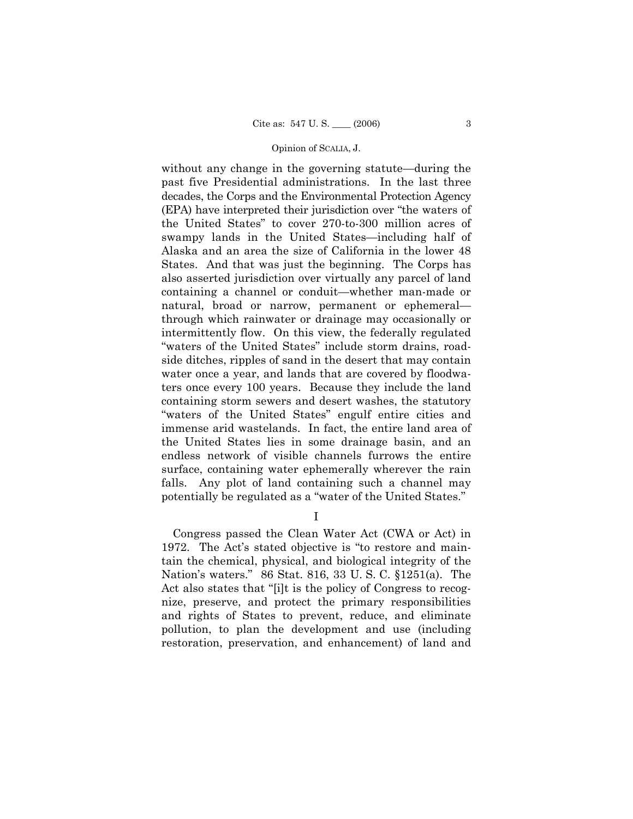without any change in the governing statute—during the past five Presidential administrations. In the last three decades, the Corps and the Environmental Protection Agency (EPA) have interpreted their jurisdiction over "the waters of the United States" to cover 270-to-300 million acres of swampy lands in the United States—including half of Alaska and an area the size of California in the lower 48 States. And that was just the beginning. The Corps has also asserted jurisdiction over virtually any parcel of land containing a channel or conduit—whether man-made or natural, broad or narrow, permanent or ephemeralthrough which rainwater or drainage may occasionally or intermittently flow. On this view, the federally regulated "waters of the United States" include storm drains, roadside ditches, ripples of sand in the desert that may contain water once a year, and lands that are covered by floodwaters once every 100 years. Because they include the land containing storm sewers and desert washes, the statutory "waters of the United States" engulf entire cities and immense arid wastelands. In fact, the entire land area of the United States lies in some drainage basin, and an endless network of visible channels furrows the entire surface, containing water ephemerally wherever the rain falls. Any plot of land containing such a channel may potentially be regulated as a "water of the United States."

 $\mathbf{I}$ 

Congress passed the Clean Water Act (CWA or Act) in 1972. The Act's stated objective is "to restore and maintain the chemical, physical, and biological integrity of the Nation's waters." 86 Stat. 816, 33 U.S.C. §1251(a). The Act also states that "[i]t is the policy of Congress to recognize, preserve, and protect the primary responsibilities and rights of States to prevent, reduce, and eliminate pollution, to plan the development and use (including restoration, preservation, and enhancement) of land and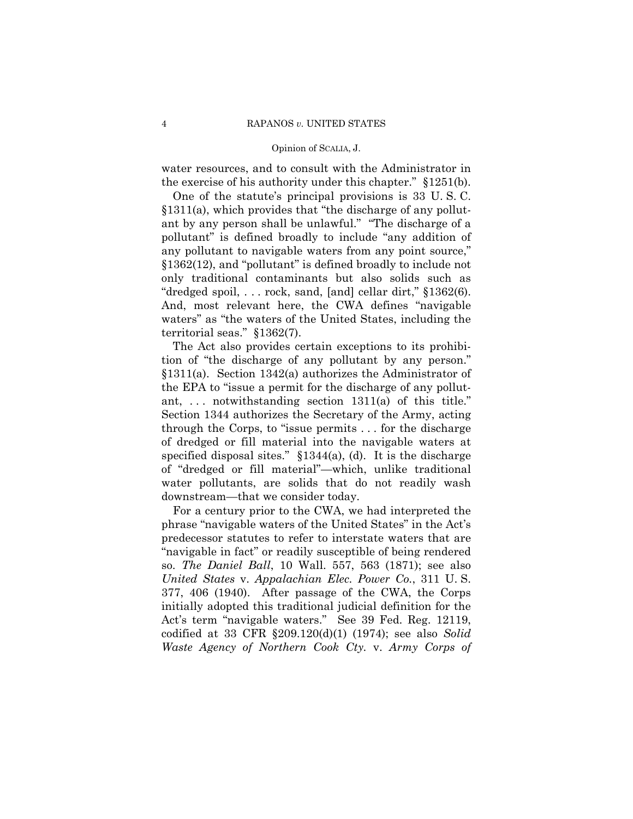water resources, and to consult with the Administrator in the exercise of his authority under this chapter."  $§1251(b)$ .

 One of the statuteís principal provisions is 33 U. S. C.  $§1311(a)$ , which provides that "the discharge of any pollutant by any person shall be unlawful." "The discharge of a pollutant" is defined broadly to include "any addition of any pollutant to navigable waters from any point source,"  $$1362(12)$ , and "pollutant" is defined broadly to include not only traditional contaminants but also solids such as "dredged spoil,  $\ldots$  rock, sand, [and] cellar dirt,"  $$1362(6)$ . And, most relevant here, the CWA defines "navigable waters" as "the waters of the United States, including the territorial seas."  $§1362(7)$ .

 The Act also provides certain exceptions to its prohibition of "the discharge of any pollutant by any person." ß1311(a). Section 1342(a) authorizes the Administrator of the EPA to "issue a permit for the discharge of any pollutant,  $\ldots$  notwithstanding section 1311(a) of this title.<sup>"</sup> Section 1344 authorizes the Secretary of the Army, acting through the Corps, to "issue permits  $\ldots$  for the discharge of dredged or fill material into the navigable waters at specified disposal sites."  $$1344(a)$ , (d). It is the discharge of "dredged or fill material"—which, unlike traditional water pollutants, are solids that do not readily wash downstream—that we consider today.

 For a century prior to the CWA, we had interpreted the phrase "navigable waters of the United States" in the Act's predecessor statutes to refer to interstate waters that are "navigable in fact" or readily susceptible of being rendered so. *The Daniel Ball*, 10 Wall. 557, 563 (1871); see also *United States* v. *Appalachian Elec. Power Co.*, 311 U. S. 377, 406 (1940). After passage of the CWA, the Corps initially adopted this traditional judicial definition for the Act's term "navigable waters." See 39 Fed. Reg. 12119, codified at 33 CFR ß209.120(d)(1) (1974); see also *Solid Waste Agency of Northern Cook Cty.* v. *Army Corps of*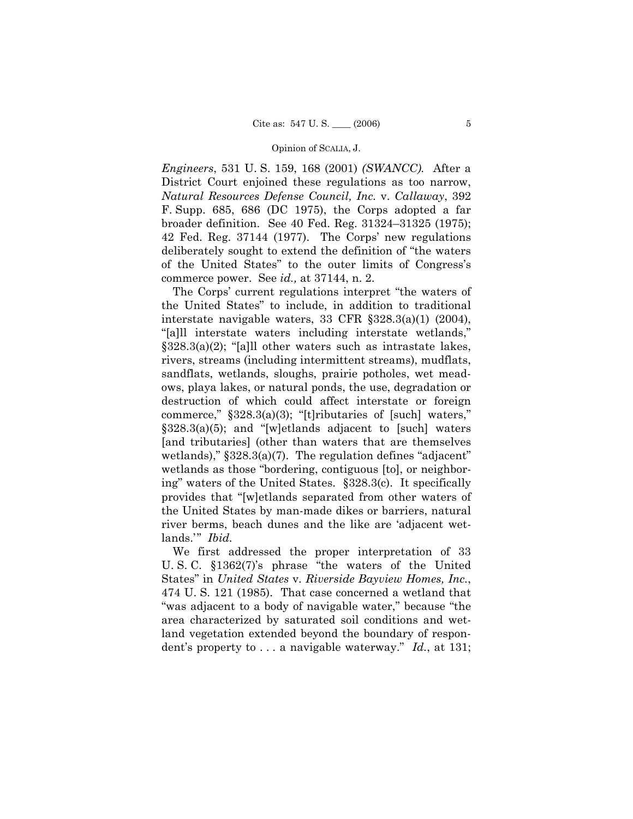*Engineers*, 531 U. S. 159, 168 (2001) *(SWANCC).* After a District Court enjoined these regulations as too narrow, *Natural Resources Defense Council, Inc.* v. *Callaway*, 392 F. Supp. 685, 686 (DC 1975), the Corps adopted a far broader definition. See 40 Fed. Reg.  $31324 - 31325$  (1975); 42 Fed. Reg. 37144 (1977). The Corps' new regulations deliberately sought to extend the definition of "the waters" of the United States" to the outer limits of Congress's commerce power. See *id.,* at 37144, n. 2.

The Corps' current regulations interpret "the waters of the United Statesî to include, in addition to traditional interstate navigable waters, 33 CFR ß328.3(a)(1) (2004), "[a]ll interstate waters including interstate wetlands,"  $$328.3(a)(2);$  "[a]ll other waters such as intrastate lakes, rivers, streams (including intermittent streams), mudflats, sandflats, wetlands, sloughs, prairie potholes, wet meadows, playa lakes, or natural ponds, the use, degradation or destruction of which could affect interstate or foreign commerce,"  $§328.3(a)(3)$ ; "[t]ributaries of [such] waters,"  $$328.3(a)(5);$  and "[w]etlands adjacent to [such] waters [and tributaries] (other than waters that are themselves wetlands),"  $\S 328.3(a)(7)$ . The regulation defines "adjacent" wetlands as those "bordering, contiguous [to], or neighboring" waters of the United States. §328.3(c). It specifically provides that "[w]etlands separated from other waters of the United States by man-made dikes or barriers, natural river berms, beach dunes and the like are ëadjacent wetlands.<sup>"</sup> *Ibid.* 

 We first addressed the proper interpretation of 33 U. S. C.  $$1362(7)'s$  phrase "the waters of the United Statesî in *United States* v. *Riverside Bayview Homes, Inc.*, 474 U. S. 121 (1985). That case concerned a wetland that "was adjacent to a body of navigable water," because "the area characterized by saturated soil conditions and wetland vegetation extended beyond the boundary of respondent's property to ... a navigable waterway." *Id.*, at 131;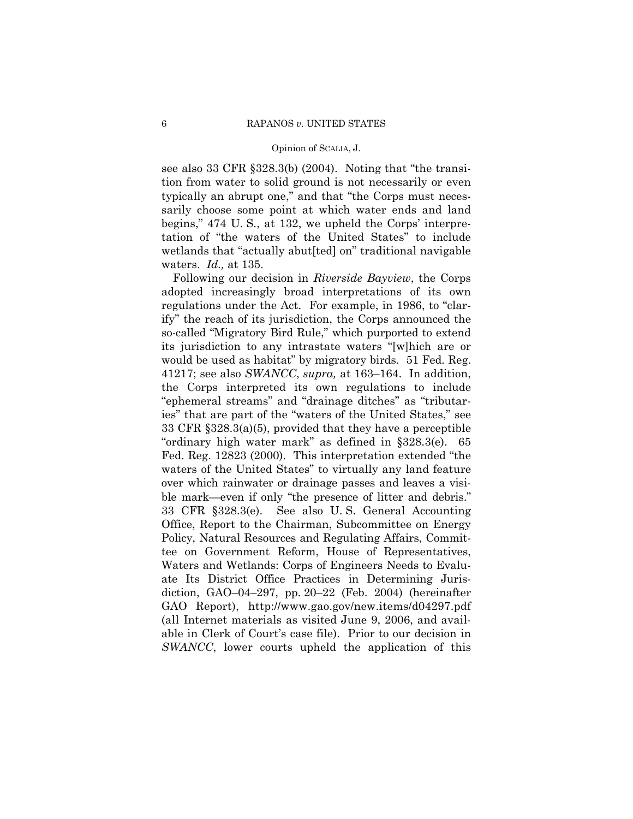see also 33 CFR  $\S 328.3(b)$  (2004). Noting that "the transition from water to solid ground is not necessarily or even typically an abrupt one," and that "the Corps must necessarily choose some point at which water ends and land begins," 474 U.S., at 132, we upheld the Corps' interpretation of "the waters of the United States" to include wetlands that "actually abut [ted] on" traditional navigable waters.  $Id.,$  at 135.

Following our decision in Riverside Bayview, the Corps adopted increasingly broad interpretations of its own regulations under the Act. For example, in 1986, to "clarify" the reach of its jurisdiction, the Corps announced the so-called "Migratory Bird Rule," which purported to extend its jurisdiction to any intrastate waters "[w]hich are or would be used as habitat" by migratory birds. 51 Fed. Reg. 41217; see also SWANCC, supra, at 163–164. In addition, the Corps interpreted its own regulations to include "ephemeral streams" and "drainage ditches" as "tributaries" that are part of the "waters of the United States," see 33 CFR  $\S 328.3(a)(5)$ , provided that they have a perceptible "ordinary high water mark" as defined in  $§328.3(e)$ . 65 Fed. Reg. 12823 (2000). This interpretation extended "the waters of the United States" to virtually any land feature over which rainwater or drainage passes and leaves a visible mark—even if only "the presence of litter and debris." 33 CFR §328.3(e). See also U.S. General Accounting Office, Report to the Chairman, Subcommittee on Energy Policy, Natural Resources and Regulating Affairs, Committee on Government Reform, House of Representatives, Waters and Wetlands: Corps of Engineers Needs to Evaluate Its District Office Practices in Determining Jurisdiction, GAO-04-297, pp. 20-22 (Feb. 2004) (hereinafter GAO Report), http://www.gao.gov/new.items/d04297.pdf (all Internet materials as visited June 9, 2006, and available in Clerk of Court's case file). Prior to our decision in SWANCC, lower courts upheld the application of this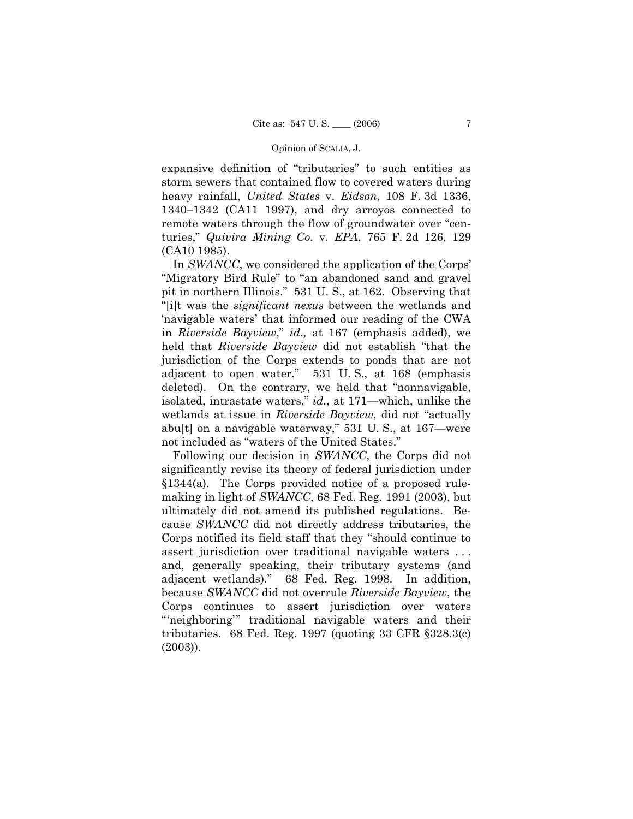expansive definition of "tributaries" to such entities as storm sewers that contained flow to covered waters during heavy rainfall, *United States* v. *Eidson*, 108 F. 3d 1336,  $1340-1342$  (CA11 1997), and dry arroyos connected to remote waters through the flow of groundwater over "centuries,î *Quivira Mining Co.* v. *EPA*, 765 F. 2d 126, 129 (CA10 1985).

In *SWANCC*, we considered the application of the Corps' "Migratory Bird Rule" to "an abandoned sand and gravel pit in northern Illinois." 531 U.S., at 162. Observing that ì[i]t was the *significant nexus* between the wetlands and ënavigable watersí that informed our reading of the CWA in *Riverside Bayview*," *id.*, at 167 (emphasis added), we held that *Riverside Bayview* did not establish "that the jurisdiction of the Corps extends to ponds that are not adjacent to open water."  $531$  U.S., at 168 (emphasis deleted). On the contrary, we held that "nonnavigable, isolated, intrastate waters," *id.*, at 171—which, unlike the wetlands at issue in *Riverside Bayview*, did not "actually abu[t] on a navigable waterway,"  $531$  U.S., at  $167$ —were not included as "waters of the United States."

 Following our decision in *SWANCC*, the Corps did not significantly revise its theory of federal jurisdiction under ß1344(a). The Corps provided notice of a proposed rulemaking in light of *SWANCC*, 68 Fed. Reg. 1991 (2003), but ultimately did not amend its published regulations. Because *SWANCC* did not directly address tributaries, the Corps notified its field staff that they "should continue to assert jurisdiction over traditional navigable waters . . . and, generally speaking, their tributary systems (and adjacent wetlands).î 68 Fed. Reg. 1998. In addition, because *SWANCC* did not overrule *Riverside Bayview*, the Corps continues to assert jurisdiction over waters "neighboring" traditional navigable waters and their tributaries. 68 Fed. Reg. 1997 (quoting 33 CFR  $\S 328.3(c)$ ) (2003)).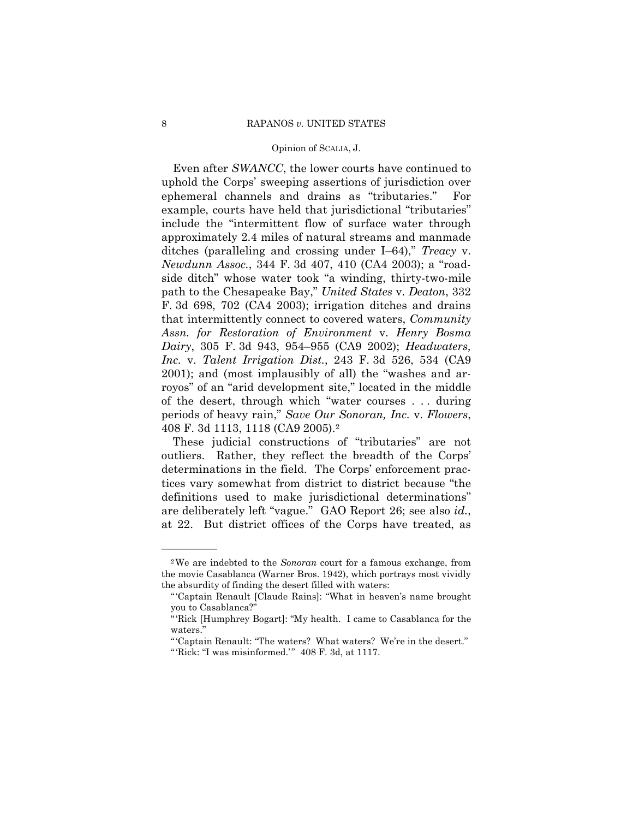Even after *SWANCC*, the lower courts have continued to uphold the Corps' sweeping assertions of jurisdiction over ephemeral channels and drains as "tributaries." For example, courts have held that jurisdictional "tributaries" include the "intermittent flow of surface water through approximately 2.4 miles of natural streams and manmade ditches (paralleling and crossing under I–64)," *Treacy* v. *Newdunn Assoc.*, 344 F. 3d 407, 410 (CA4 2003); a "roadside ditch" whose water took "a winding, thirty-two-mile path to the Chesapeake Bay,î *United States* v. *Deaton*, 332 F. 3d 698, 702 (CA4 2003); irrigation ditches and drains that intermittently connect to covered waters, *Community Assn. for Restoration of Environment* v. *Henry Bosma Dairy*, 305 F. 3d 943, 954–955 (CA9 2002); *Headwaters, Inc.* v. *Talent Irrigation Dist.*, 243 F. 3d 526, 534 (CA9  $2001$ ); and (most implausibly of all) the "washes and arroyos" of an "arid development site," located in the middle of the desert, through which "water courses  $\dots$  during periods of heavy rain,î *Save Our Sonoran, Inc.* v. *Flowers*, 408 F. 3d 1113, 1118 (CA9 2005).2

These judicial constructions of "tributaries" are not outliers. Rather, they reflect the breadth of the Corps' determinations in the field. The Corps' enforcement practices vary somewhat from district to district because "the definitions used to make jurisdictional determinations" are deliberately left "vague." GAO Report 26; see also *id.*, at 22. But district offices of the Corps have treated, as

<sup>2</sup>We are indebted to the *Sonoran* court for a famous exchange, from the movie Casablanca (Warner Bros. 1942), which portrays most vividly the absurdity of finding the desert filled with waters:

<sup>&</sup>quot;Captain Renault [Claude Rains]: "What in heaven's name brought you to Casablanca?"

<sup>&</sup>quot;'Rick [Humphrey Bogart]: "My health. I came to Casablanca for the waters."

<sup>&</sup>quot;Captain Renault: "The waters? What waters? We're in the desert."

<sup>&</sup>quot;Rick: "I was misinformed."  $408$  F. 3d, at 1117.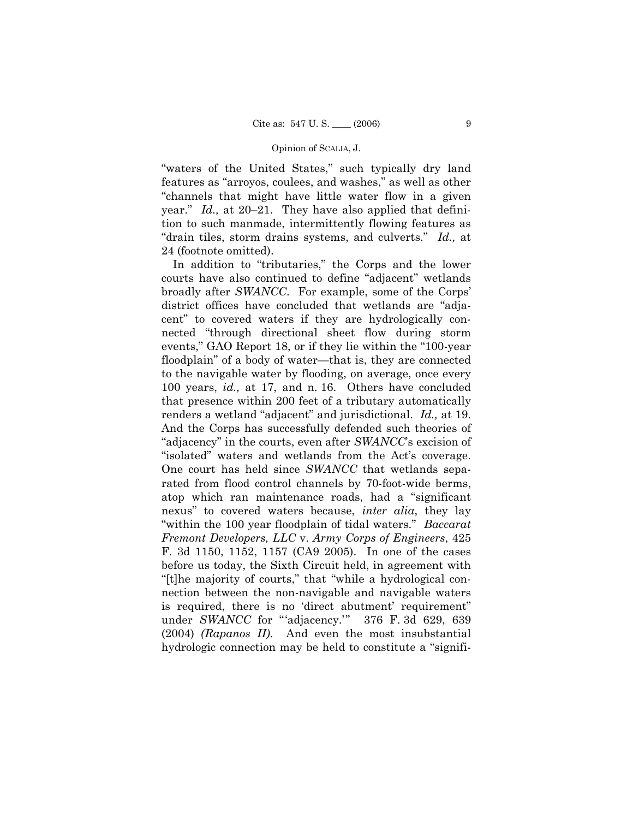"waters of the United States," such typically dry land features as "arroyos, coulees, and washes," as well as other ìchannels that might have little water flow in a given year." *Id.*, at 20–21. They have also applied that definition to such manmade, intermittently flowing features as "drain tiles, storm drains systems, and culverts." *Id.*, at 24 (footnote omitted).

In addition to "tributaries," the Corps and the lower courts have also continued to define "adjacent" wetlands broadly after *SWANCC*. For example, some of the Corps' district offices have concluded that wetlands are "adjacent" to covered waters if they are hydrologically connected "through directional sheet flow during storm events," GAO Report 18, or if they lie within the "100-year floodplain" of a body of water—that is, they are connected to the navigable water by flooding, on average, once every 100 years, *id.,* at 17, and n. 16. Others have concluded that presence within 200 feet of a tributary automatically renders a wetland "adjacent" and jurisdictional. *Id.*, at 19. And the Corps has successfully defended such theories of "adjacency" in the courts, even after *SWANCC*'s excision of "isolated" waters and wetlands from the Act's coverage. One court has held since *SWANCC* that wetlands separated from flood control channels by 70-foot-wide berms, atop which ran maintenance roads, had a "significant nexusî to covered waters because, *inter alia*, they lay "within the 100 year floodplain of tidal waters." *Baccarat Fremont Developers, LLC* v. *Army Corps of Engineers*, 425 F. 3d 1150, 1152, 1157 (CA9 2005). In one of the cases before us today, the Sixth Circuit held, in agreement with "[t]he majority of courts," that "while a hydrological connection between the non-navigable and navigable waters is required, there is no 'direct abutment' requirement" under *SWANCC* for "adjacency.'" 376 F. 3d 629, 639 (2004) *(Rapanos II)*. And even the most insubstantial hydrologic connection may be held to constitute a "signifi-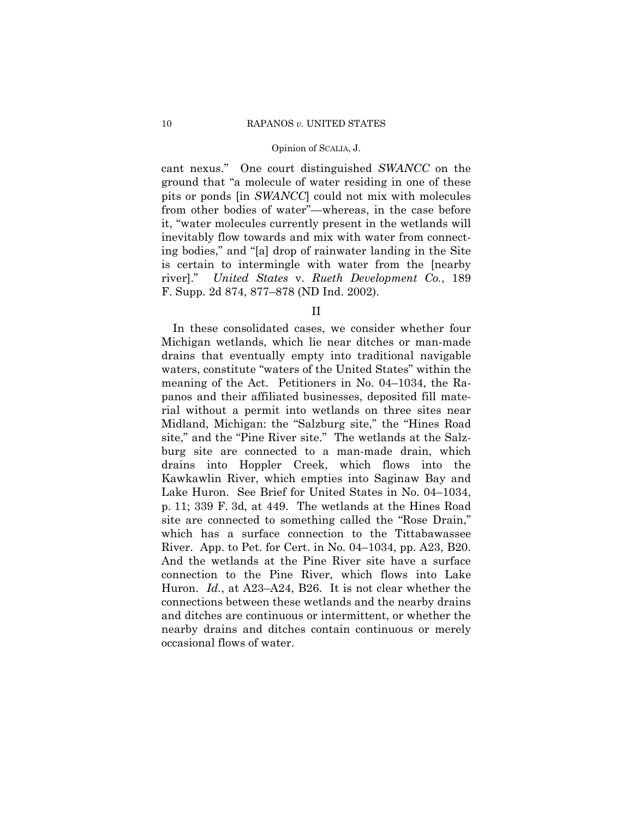cant nexus.î One court distinguished *SWANCC* on the ground that "a molecule of water residing in one of these pits or ponds [in *SWANCC*] could not mix with molecules from other bodies of water<sup>"</sup>—whereas, in the case before it, "water molecules currently present in the wetlands will inevitably flow towards and mix with water from connecting bodies," and "[a] drop of rainwater landing in the Site is certain to intermingle with water from the [nearby river].î *United States* v. *Rueth Development Co.*, 189 F. Supp. 2d 874, 877–878 (ND Ind. 2002).

II

 In these consolidated cases, we consider whether four Michigan wetlands, which lie near ditches or man-made drains that eventually empty into traditional navigable waters, constitute "waters of the United States" within the meaning of the Act. Petitioners in No.  $04-1034$ , the Rapanos and their affiliated businesses, deposited fill material without a permit into wetlands on three sites near Midland, Michigan: the "Salzburg site," the "Hines Road" site," and the "Pine River site." The wetlands at the Salzburg site are connected to a man-made drain, which drains into Hoppler Creek, which flows into the Kawkawlin River, which empties into Saginaw Bay and Lake Huron. See Brief for United States in No. 04–1034, p. 11; 339 F. 3d, at 449. The wetlands at the Hines Road site are connected to something called the "Rose Drain," which has a surface connection to the Tittabawassee River. App. to Pet. for Cert. in No.  $04-1034$ , pp. A23, B20. And the wetlands at the Pine River site have a surface connection to the Pine River, which flows into Lake Huron. *Id.*, at A23-A24, B26. It is not clear whether the connections between these wetlands and the nearby drains and ditches are continuous or intermittent, or whether the nearby drains and ditches contain continuous or merely occasional flows of water.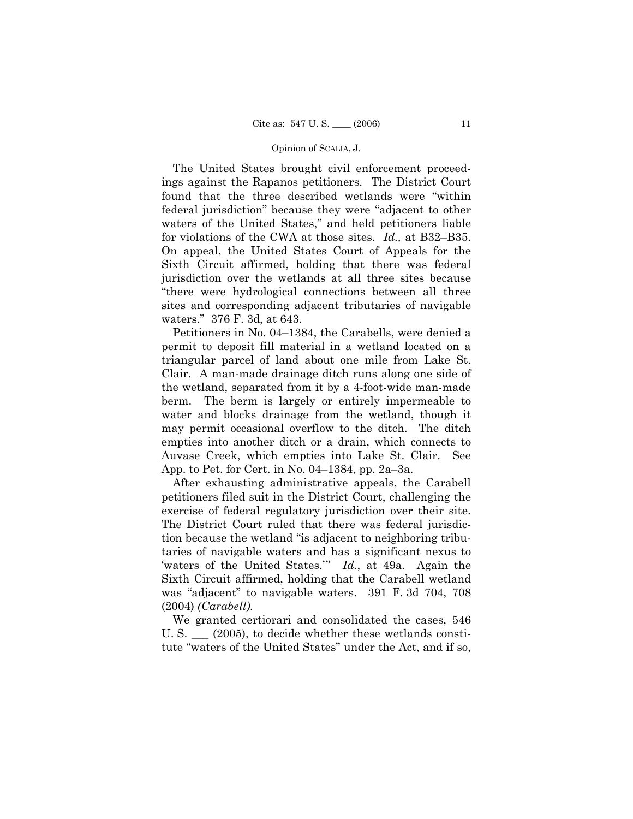The United States brought civil enforcement proceedings against the Rapanos petitioners. The District Court found that the three described wetlands were "within federal jurisdiction" because they were "adjacent to other waters of the United States," and held petitioners liable for violations of the CWA at those sites. *Id.*, at B32–B35. On appeal, the United States Court of Appeals for the Sixth Circuit affirmed, holding that there was federal jurisdiction over the wetlands at all three sites because ìthere were hydrological connections between all three sites and corresponding adjacent tributaries of navigable waters." 376 F. 3d, at 643.

Petitioners in No. 04–1384, the Carabells, were denied a permit to deposit fill material in a wetland located on a triangular parcel of land about one mile from Lake St. Clair. A man-made drainage ditch runs along one side of the wetland, separated from it by a 4-foot-wide man-made berm. The berm is largely or entirely impermeable to water and blocks drainage from the wetland, though it may permit occasional overflow to the ditch. The ditch empties into another ditch or a drain, which connects to Auvase Creek, which empties into Lake St. Clair. See App. to Pet. for Cert. in No.  $04-1384$ , pp. 2a $-3a$ .

 After exhausting administrative appeals, the Carabell petitioners filed suit in the District Court, challenging the exercise of federal regulatory jurisdiction over their site. The District Court ruled that there was federal jurisdiction because the wetland "is adjacent to neighboring tributaries of navigable waters and has a significant nexus to waters of the United States.<sup>"</sup> *Id.*, at 49a. Again the Sixth Circuit affirmed, holding that the Carabell wetland was "adjacent" to navigable waters. 391 F. 3d 704, 708 (2004) *(Carabell).*

 We granted certiorari and consolidated the cases, 546 U. S.  $\qquad$  (2005), to decide whether these wetlands constitute "waters of the United States" under the Act, and if so,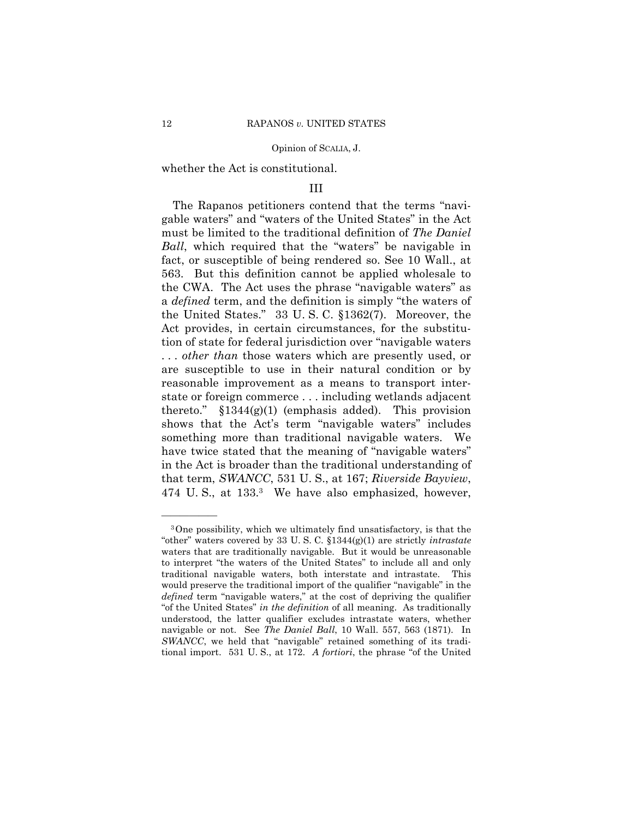whether the Act is constitutional.

## III

The Rapanos petitioners contend that the terms "navigable waters" and "waters of the United States" in the Act must be limited to the traditional definition of *The Daniel Ball*, which required that the "waters" be navigable in fact, or susceptible of being rendered so. See 10 Wall., at 563. But this definition cannot be applied wholesale to the CWA. The Act uses the phrase "navigable waters" as a *defined* term, and the definition is simply "the waters of the United States." 33 U.S.C. §1362(7). Moreover, the Act provides, in certain circumstances, for the substitution of state for federal jurisdiction over "navigable waters" . . . *other than* those waters which are presently used, or are susceptible to use in their natural condition or by reasonable improvement as a means to transport interstate or foreign commerce . . . including wetlands adjacent thereto."  $$1344(g)(1)$  (emphasis added). This provision shows that the Act's term "navigable waters" includes something more than traditional navigable waters. We have twice stated that the meaning of "navigable waters" in the Act is broader than the traditional understanding of that term, *SWANCC*, 531 U. S., at 167; *Riverside Bayview*, 474 U. S., at 133.3 We have also emphasized, however,

<sup>3</sup>One possibility, which we ultimately find unsatisfactory, is that the ìotherî waters covered by 33 U. S. C. ß1344(g)(1) are strictly *intrastate* waters that are traditionally navigable. But it would be unreasonable to interpret "the waters of the United States" to include all and only traditional navigable waters, both interstate and intrastate. This would preserve the traditional import of the qualifier "navigable" in the *defined* term "navigable waters," at the cost of depriving the qualifier "of the United States" in the *definition* of all meaning. As traditionally understood, the latter qualifier excludes intrastate waters, whether navigable or not. See *The Daniel Ball*, 10 Wall. 557, 563 (1871). In *SWANCC*, we held that "navigable" retained something of its traditional import. 531 U.S., at 172. *A fortiori*, the phrase "of the United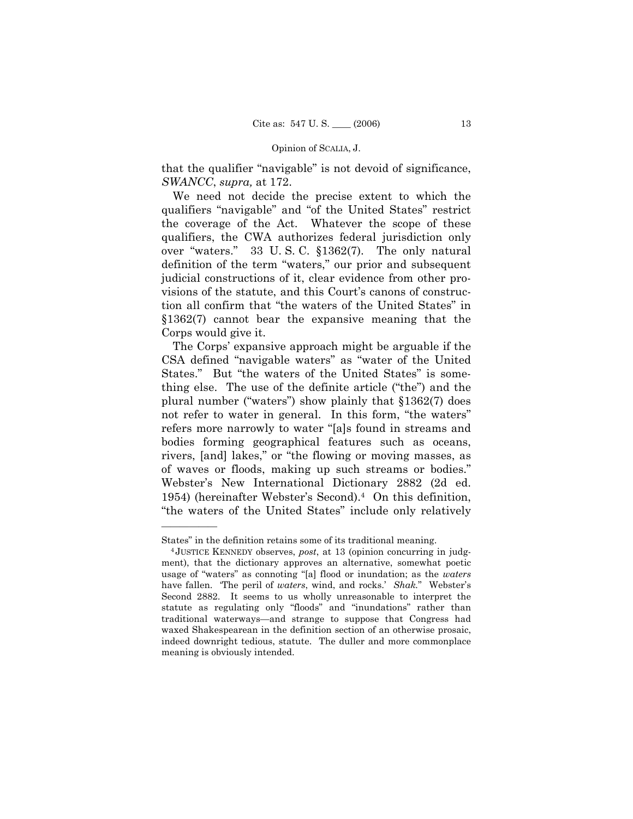that the qualifier "navigable" is not devoid of significance, *SWANCC*, *supra,* at 172.

 We need not decide the precise extent to which the qualifiers "navigable" and "of the United States" restrict the coverage of the Act. Whatever the scope of these qualifiers, the CWA authorizes federal jurisdiction only over "waters." 33 U.S.C.  $$1362(7)$ . The only natural definition of the term "waters," our prior and subsequent judicial constructions of it, clear evidence from other provisions of the statute, and this Court's canons of construction all confirm that "the waters of the United States" in ß1362(7) cannot bear the expansive meaning that the Corps would give it.

The Corps' expansive approach might be arguable if the CSA defined "navigable waters" as "water of the United States." But "the waters of the United States" is something else. The use of the definite article ("the") and the plural number ("waters") show plainly that  $$1362(7)$  does not refer to water in general. In this form, "the waters" refers more narrowly to water "[a]s found in streams and bodies forming geographical features such as oceans, rivers, [and] lakes," or "the flowing or moving masses, as of waves or floods, making up such streams or bodies. Websterís New International Dictionary 2882 (2d ed. 1954) (hereinafter Webster's Second).<sup>4</sup> On this definition, "the waters of the United States" include only relatively

Statesî in the definition retains some of its traditional meaning. 4 JUSTICE KENNEDY observes, *post*, at 13 (opinion concurring in judgment), that the dictionary approves an alternative, somewhat poetic usage of "waters" as connoting "[a] flood or inundation; as the *waters* have fallen. 'The peril of *waters*, wind, and rocks.' *Shak.*" Webster's Second 2882. It seems to us wholly unreasonable to interpret the statute as regulating only "floods" and "inundations" rather than traditional waterways—and strange to suppose that Congress had waxed Shakespearean in the definition section of an otherwise prosaic, indeed downright tedious, statute. The duller and more commonplace meaning is obviously intended.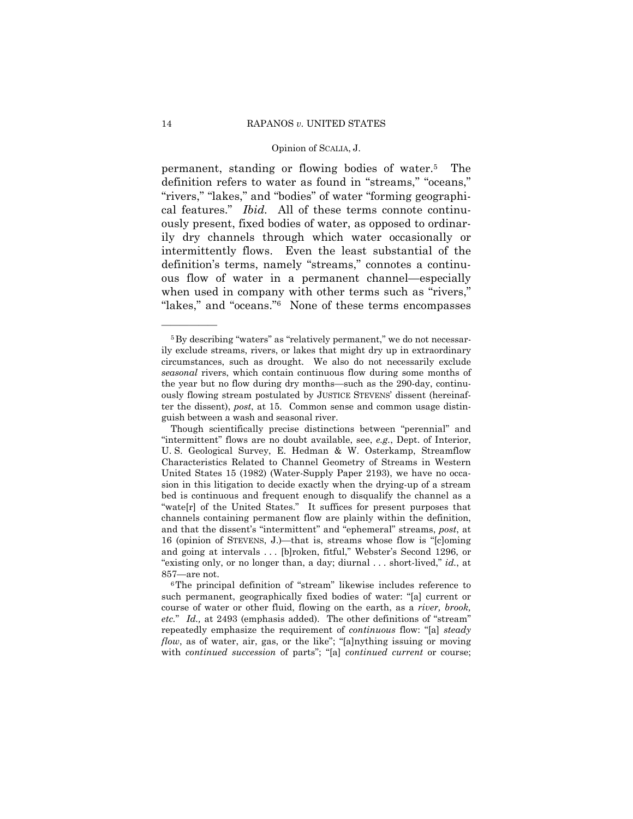permanent, standing or flowing bodies of water.5 The definition refers to water as found in "streams," "oceans," "rivers," "lakes," and "bodies" of water "forming geographical features.î *Ibid.* All of these terms connote continuously present, fixed bodies of water, as opposed to ordinarily dry channels through which water occasionally or intermittently flows. Even the least substantial of the definition's terms, namely "streams," connotes a continuous flow of water in a permanent channel—especially when used in company with other terms such as "rivers," "lakes," and "oceans." None of these terms encompasses

 $5By$  describing "waters" as "relatively permanent," we do not necessarily exclude streams, rivers, or lakes that might dry up in extraordinary circumstances, such as drought. We also do not necessarily exclude *seasonal* rivers, which contain continuous flow during some months of the year but no flow during dry months—such as the 290-day, continuously flowing stream postulated by JUSTICE STEVENS' dissent (hereinafter the dissent), *post*, at 15. Common sense and common usage distinguish between a wash and seasonal river.

Though scientifically precise distinctions between "perennial" and ìintermittentî flows are no doubt available, see, *e.g.*, Dept. of Interior, U. S. Geological Survey, E. Hedman & W. Osterkamp, Streamflow Characteristics Related to Channel Geometry of Streams in Western United States 15 (1982) (Water-Supply Paper 2193), we have no occasion in this litigation to decide exactly when the drying-up of a stream bed is continuous and frequent enough to disqualify the channel as a "wate[r] of the United States." It suffices for present purposes that channels containing permanent flow are plainly within the definition, and that the dissent's "intermittent" and "ephemeral" streams, *post*, at 16 (opinion of STEVENS, J.)—that is, streams whose flow is " $[c]$ oming and going at intervals ... [b]roken, fitful," Webster's Second 1296, or "existing only, or no longer than, a day; diurnal . . . short-lived," *id.*, at  $857$ —are not.<br><sup>6</sup>The principal definition of "stream" likewise includes reference to

such permanent, geographically fixed bodies of water: "[a] current or course of water or other fluid, flowing on the earth, as a *river, brook, etc.*" *Id.*, at 2493 (emphasis added). The other definitions of "stream" repeatedly emphasize the requirement of *continuous* flow: "[a] *steady flow*, as of water, air, gas, or the like"; "[a]nything issuing or moving with *continued succession* of parts"; "[a] *continued current* or course;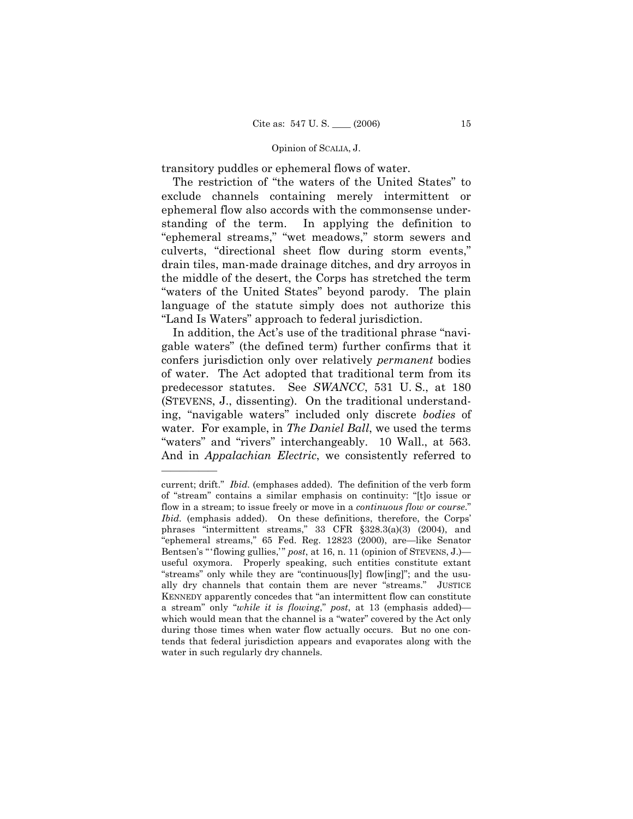transitory puddles or ephemeral flows of water.

The restriction of "the waters of the United States" to exclude channels containing merely intermittent or ephemeral flow also accords with the commonsense understanding of the term. In applying the definition to "ephemeral streams," "wet meadows," storm sewers and culverts, "directional sheet flow during storm events," drain tiles, man-made drainage ditches, and dry arroyos in the middle of the desert, the Corps has stretched the term "waters of the United States" beyond parody. The plain language of the statute simply does not authorize this "Land Is Waters" approach to federal jurisdiction.

In addition, the Act's use of the traditional phrase "navigable watersî (the defined term) further confirms that it confers jurisdiction only over relatively *permanent* bodies of water. The Act adopted that traditional term from its predecessor statutes. See *SWANCC*, 531 U. S., at 180 (STEVENS, J., dissenting). On the traditional understanding, "navigable waters" included only discrete *bodies* of water. For example, in *The Daniel Ball*, we used the terms "waters" and "rivers" interchangeably. 10 Wall., at 563. And in *Appalachian Electric*, we consistently referred to

current; drift." *Ibid.* (emphases added). The definition of the verb form of "stream" contains a similar emphasis on continuity: "[t]o issue or flow in a stream; to issue freely or move in a *continuous flow or course*." *Ibid.* (emphasis added). On these definitions, therefore, the Corps' phrases "intermittent streams," 33 CFR §328.3(a)(3) (2004), and "ephemeral streams," 65 Fed. Reg. 12823 (2000), are-like Senator Bentsen's "flowing gullies," post, at 16, n. 11 (opinion of STEVENS, J.)useful oxymora. Properly speaking, such entities constitute extant "streams" only while they are "continuous[ly] flow[ing]"; and the usually dry channels that contain them are never "streams." JUSTICE KENNEDY apparently concedes that "an intermittent flow can constitute a stream" only "while it is flowing," post, at 13 (emphasis added)which would mean that the channel is a "water" covered by the Act only during those times when water flow actually occurs. But no one contends that federal jurisdiction appears and evaporates along with the water in such regularly dry channels.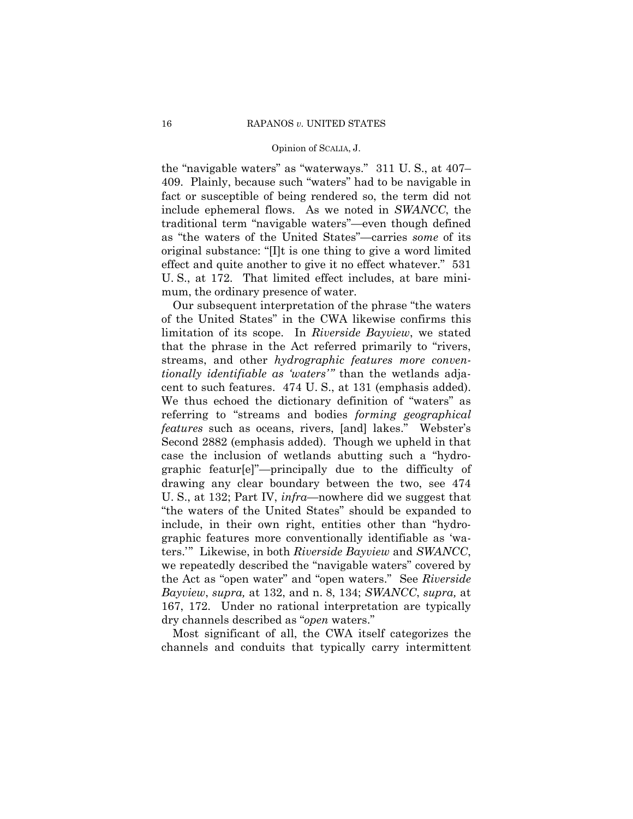the "navigable waters" as "waterways."  $311$  U. S., at  $407$ – 409. Plainly, because such "waters" had to be navigable in fact or susceptible of being rendered so, the term did not include ephemeral flows. As we noted in *SWANCC*, the traditional term "navigable waters"--even though defined as "the waters of the United States"—carries *some* of its original substance: " $[1]$ t is one thing to give a word limited effect and quite another to give it no effect whatever." 531 U. S., at 172. That limited effect includes, at bare minimum, the ordinary presence of water.

Our subsequent interpretation of the phrase "the waters" of the United States" in the CWA likewise confirms this limitation of its scope. In *Riverside Bayview*, we stated that the phrase in the Act referred primarily to "rivers, streams, and other *hydrographic features more conventionally identifiable as 'waters'*" than the wetlands adjacent to such features. 474 U. S., at 131 (emphasis added). We thus echoed the dictionary definition of "waters" as referring to "streams and bodies *forming geographical features* such as oceans, rivers, [and] lakes." Webster's Second 2882 (emphasis added). Though we upheld in that case the inclusion of wetlands abutting such a "hydrographic featur[e]"—principally due to the difficulty of drawing any clear boundary between the two, see 474 U. S., at 132; Part IV, *infra*—nowhere did we suggest that "the waters of the United States" should be expanded to include, in their own right, entities other than "hydrographic features more conventionally identifiable as 'waters.íî Likewise, in both *Riverside Bayview* and *SWANCC*, we repeatedly described the "navigable waters" covered by the Act as "open water" and "open waters." See *Riverside Bayview*, *supra,* at 132, and n. 8, 134; *SWANCC*, *supra,* at 167, 172. Under no rational interpretation are typically dry channels described as "*open* waters."

 Most significant of all, the CWA itself categorizes the channels and conduits that typically carry intermittent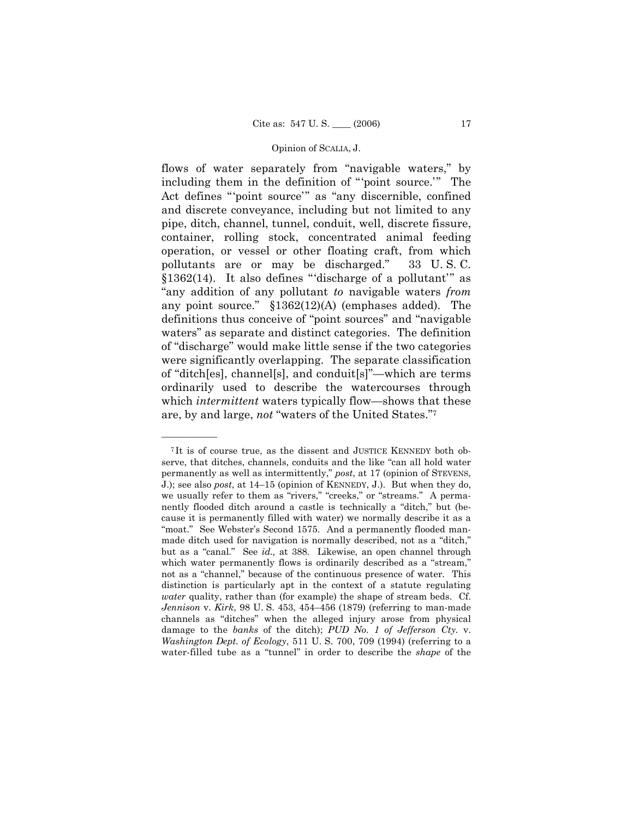flows of water separately from "navigable waters," by including them in the definition of "point source." The Act defines "point source" as "any discernible, confined and discrete conveyance, including but not limited to any pipe, ditch, channel, tunnel, conduit, well, discrete fissure, container, rolling stock, concentrated animal feeding operation, or vessel or other floating craft, from which pollutants are or may be discharged." 33 U.S.C. §1362(14). It also defines "discharge of a pollutant" as ìany addition of any pollutant *to* navigable waters *from* any point source."  $$1362(12)(A)$  (emphases added). The definitions thus conceive of "point sources" and "navigable waters" as separate and distinct categories. The definition of "discharge" would make little sense if the two categories were significantly overlapping. The separate classification of "ditch[es], channel[s], and conduit[s]"—which are terms ordinarily used to describe the watercourses through which *intermittent* waters typically flow—shows that these are, by and large, *not* "waters of the United States."7

<sup>7</sup> It is of course true, as the dissent and JUSTICE KENNEDY both observe, that ditches, channels, conduits and the like "can all hold water permanently as well as intermittently," *post*, at 17 (opinion of STEVENS, J.); see also *post*, at 14–15 (opinion of KENNEDY, J.). But when they do, we usually refer to them as "rivers," "creeks," or "streams." A permanently flooded ditch around a castle is technically a "ditch," but (because it is permanently filled with water) we normally describe it as a "moat." See Webster's Second 1575. And a permanently flooded manmade ditch used for navigation is normally described, not as a "ditch," but as a "canal." See *id.*, at 388. Likewise, an open channel through which water permanently flows is ordinarily described as a "stream," not as a "channel," because of the continuous presence of water. This distinction is particularly apt in the context of a statute regulating *water* quality, rather than (for example) the shape of stream beds. Cf. *Jennison v. Kirk*, 98 U. S. 453, 454-456 (1879) (referring to man-made channels as "ditches" when the alleged injury arose from physical damage to the *banks* of the ditch); *PUD No. 1 of Jefferson Cty.* v. *Washington Dept. of Ecology*, 511 U. S. 700, 709 (1994) (referring to a water-filled tube as a "tunnel" in order to describe the *shape* of the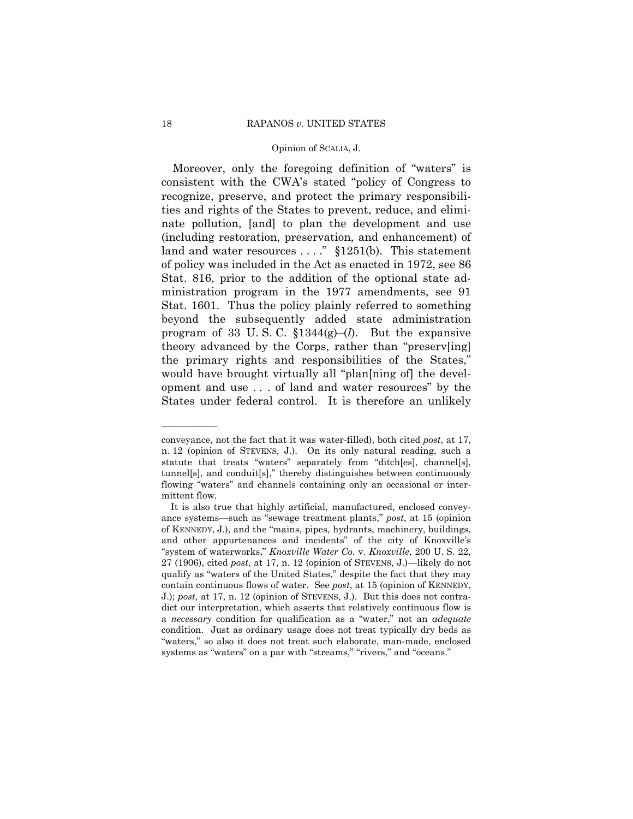Moreover, only the foregoing definition of "waters" is consistent with the CWA's stated "policy of Congress to recognize, preserve, and protect the primary responsibilities and rights of the States to prevent, reduce, and eliminate pollution, [and] to plan the development and use (including restoration, preservation, and enhancement) of land and water resources  $\dots$ ." §1251(b). This statement of policy was included in the Act as enacted in 1972, see 86 Stat. 816, prior to the addition of the optional state administration program in the 1977 amendments, see 91 Stat. 1601. Thus the policy plainly referred to something beyond the subsequently added state administration program of 33 U.S.C.  $$1344(g)–(l)$ . But the expansive theory advanced by the Corps, rather than "preserv[ing] the primary rights and responsibilities of the States, would have brought virtually all "plan[ning of] the development and use . . . of land and water resourcesî by the States under federal control. It is therefore an unlikely

conveyance, not the fact that it was water-filled), both cited *post*, at 17, n. 12 (opinion of STEVENS, J.). On its only natural reading, such a statute that treats "waters" separately from "ditch[es], channel[s],  $tunnel[s]$ , and conduit $[s]$ ," thereby distinguishes between continuously flowing "waters" and channels containing only an occasional or intermittent flow.

It is also true that highly artificial, manufactured, enclosed conveyance systems—such as "sewage treatment plants," *post*, at 15 (opinion of KENNEDY, J.), and the "mains, pipes, hydrants, machinery, buildings, and other appurtenances and incidents" of the city of Knoxville's ìsystem of waterworks,î *Knoxville Water Co.* v. *Knoxville*, 200 U. S. 22,  $27$  (1906), cited *post*, at 17, n. 12 (opinion of STEVENS, J.)—likely do not qualify as "waters of the United States," despite the fact that they may contain continuous flows of water. See *post*, at 15 (opinion of KENNEDY, J.); *post*, at 17, n. 12 (opinion of STEVENS, J.). But this does not contradict our interpretation, which asserts that relatively continuous flow is a *necessary* condition for qualification as a "water," not an *adequate* condition. Just as ordinary usage does not treat typically dry beds as "waters," so also it does not treat such elaborate, man-made, enclosed systems as "waters" on a par with "streams," "rivers," and "oceans."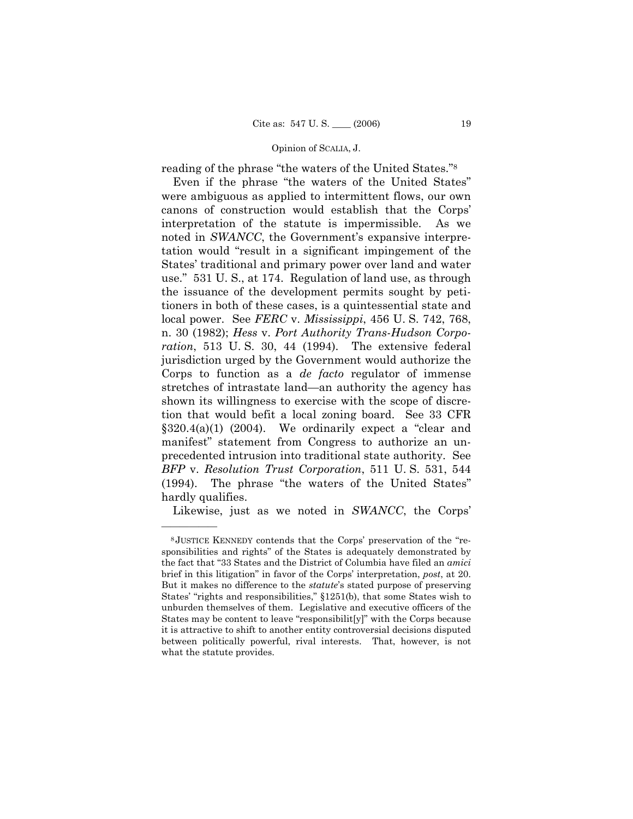reading of the phrase "the waters of the United States."<sup>8</sup>

Even if the phrase "the waters of the United States" were ambiguous as applied to intermittent flows, our own canons of construction would establish that the Corps' interpretation of the statute is impermissible. As we noted in *SWANCC*, the Government's expansive interpretation would "result in a significant impingement of the States' traditional and primary power over land and water use." 531 U.S., at 174. Regulation of land use, as through the issuance of the development permits sought by petitioners in both of these cases, is a quintessential state and local power. See *FERC* v. *Mississippi*, 456 U. S. 742, 768, n. 30 (1982); *Hess* v. *Port Authority Trans-Hudson Corporation*, 513 U. S. 30, 44 (1994). The extensive federal jurisdiction urged by the Government would authorize the Corps to function as a *de facto* regulator of immense stretches of intrastate land—an authority the agency has shown its willingness to exercise with the scope of discretion that would befit a local zoning board. See 33 CFR  $§320.4(a)(1)$  (2004). We ordinarily expect a "clear and manifest" statement from Congress to authorize an unprecedented intrusion into traditional state authority. See *BFP* v. *Resolution Trust Corporation*, 511 U. S. 531, 544  $(1994)$ . The phrase "the waters of the United States" hardly qualifies.

Likewise, just as we noted in *SWANCC*, the Corps'

 $8$ JUSTICE KENNEDY contends that the Corps' preservation of the "responsibilities and rights" of the States is adequately demonstrated by the fact that "33 States and the District of Columbia have filed an *amici* brief in this litigation" in favor of the Corps' interpretation, *post*, at 20. But it makes no difference to the *statute*'s stated purpose of preserving States' "rights and responsibilities," §1251(b), that some States wish to unburden themselves of them. Legislative and executive officers of the States may be content to leave "responsibilit[y]" with the Corps because it is attractive to shift to another entity controversial decisions disputed between politically powerful, rival interests. That, however, is not what the statute provides.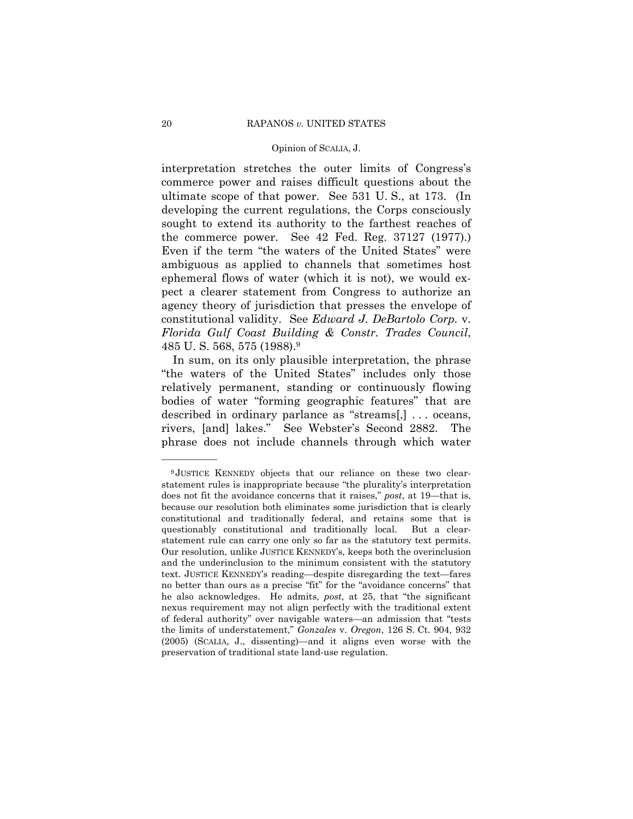interpretation stretches the outer limits of Congress's commerce power and raises difficult questions about the ultimate scope of that power. See 531 U. S., at 173. (In developing the current regulations, the Corps consciously sought to extend its authority to the farthest reaches of the commerce power. See 42 Fed. Reg. 37127 (1977).) Even if the term "the waters of the United States" were ambiguous as applied to channels that sometimes host ephemeral flows of water (which it is not), we would expect a clearer statement from Congress to authorize an agency theory of jurisdiction that presses the envelope of constitutional validity. See *Edward J. DeBartolo Corp.* v. *Florida Gulf Coast Building & Constr. Trades Council*, 485 U. S. 568, 575 (1988).9

 In sum, on its only plausible interpretation, the phrase "the waters of the United States" includes only those relatively permanent, standing or continuously flowing bodies of water "forming geographic features" that are described in ordinary parlance as "streams[,]  $\ldots$  oceans, rivers, [and] lakes." See Webster's Second 2882. The phrase does not include channels through which water

<sup>9</sup> JUSTICE KENNEDY objects that our reliance on these two clearstatement rules is inappropriate because "the plurality's interpretation does not fit the avoidance concerns that it raises," *post*, at 19—that is, because our resolution both eliminates some jurisdiction that is clearly constitutional and traditionally federal, and retains some that is questionably constitutional and traditionally local. But a clearstatement rule can carry one only so far as the statutory text permits. Our resolution, unlike JUSTICE KENNEDYís, keeps both the overinclusion and the underinclusion to the minimum consistent with the statutory text. JUSTICE KENNEDY's reading—despite disregarding the text—fares no better than ours as a precise "fit" for the "avoidance concerns" that he also acknowledges. He admits, *post*, at 25, that "the significant nexus requirement may not align perfectly with the traditional extent of federal authority" over navigable waters—an admission that "tests the limits of understatement,î *Gonzales* v. *Oregon*, 126 S. Ct. 904, 932  $(2005)$  (SCALIA, J., dissenting)—and it aligns even worse with the preservation of traditional state land-use regulation.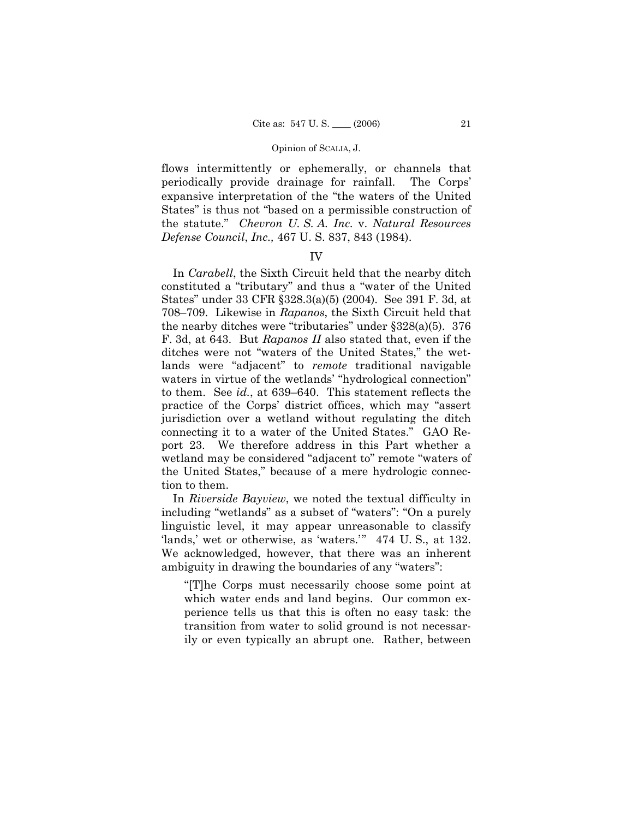flows intermittently or ephemerally, or channels that periodically provide drainage for rainfall. The Corps' expansive interpretation of the "the waters of the United" States" is thus not "based on a permissible construction of the statute.î *Chevron U. S. A. Inc.* v. *Natural Resources Defense Council*, *Inc.,* 467 U. S. 837, 843 (1984).

## IV

 In *Carabell*, the Sixth Circuit held that the nearby ditch constituted a "tributary" and thus a "water of the United Statesî under 33 CFR ß328.3(a)(5) (2004). See 391 F. 3d, at 708–709. Likewise in *Rapanos*, the Sixth Circuit held that the nearby ditches were "tributaries" under  $\S 328(a)(5)$ . 376 F. 3d, at 643. But *Rapanos II* also stated that, even if the ditches were not "waters of the United States," the wetlands were "adjacent" to *remote* traditional navigable waters in virtue of the wetlands' "hydrological connection" to them. See *id.*, at 639–640. This statement reflects the practice of the Corps' district offices, which may "assert jurisdiction over a wetland without regulating the ditch connecting it to a water of the United States." GAO Report 23. We therefore address in this Part whether a wetland may be considered "adjacent to" remote "waters of the United States," because of a mere hydrologic connection to them.

 In *Riverside Bayview*, we noted the textual difficulty in including "wetlands" as a subset of "waters": "On a purely linguistic level, it may appear unreasonable to classify 'lands,' wet or otherwise, as 'waters.'" 474 U.S., at 132. We acknowledged, however, that there was an inherent ambiguity in drawing the boundaries of any "waters":

ì[T]he Corps must necessarily choose some point at which water ends and land begins. Our common experience tells us that this is often no easy task: the transition from water to solid ground is not necessarily or even typically an abrupt one. Rather, between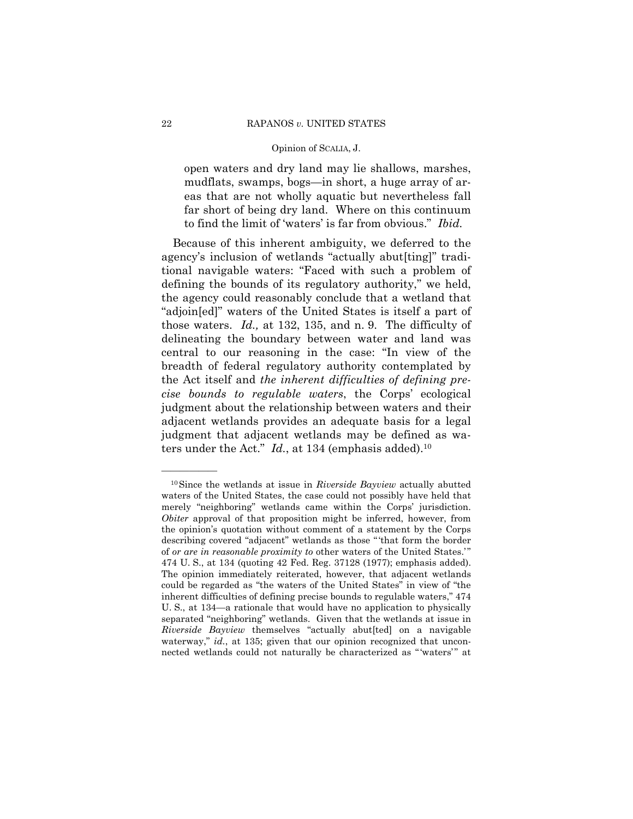open waters and dry land may lie shallows, marshes, mudflats, swamps, bogs—in short, a huge array of areas that are not wholly aquatic but nevertheless fall far short of being dry land. Where on this continuum to find the limit of 'waters' is far from obvious." Ibid.

Because of this inherent ambiguity, we deferred to the agency's inclusion of wetlands "actually abut[ting]" traditional navigable waters: "Faced with such a problem of defining the bounds of its regulatory authority," we held, the agency could reasonably conclude that a wetland that "adjoin[ed]" waters of the United States is itself a part of those waters. Id., at 132, 135, and n. 9. The difficulty of delineating the boundary between water and land was central to our reasoning in the case: "In view of the breadth of federal regulatory authority contemplated by the Act itself and the inherent difficulties of defining precise bounds to regulable waters, the Corps' ecological judgment about the relationship between waters and their adjacent wetlands provides an adequate basis for a legal judgment that adjacent wetlands may be defined as waters under the Act."  $Id.$ , at 134 (emphasis added).<sup>10</sup>

<sup>&</sup>lt;sup>10</sup>Since the wetlands at issue in *Riverside Bayview* actually abutted waters of the United States, the case could not possibly have held that merely "neighboring" wetlands came within the Corps' jurisdiction. Obiter approval of that proposition might be inferred, however, from the opinion's quotation without comment of a statement by the Corps describing covered "adjacent" wetlands as those "'that form the border of or are in reasonable proximity to other waters of the United States." 474 U.S., at 134 (quoting 42 Fed. Reg. 37128 (1977); emphasis added). The opinion immediately reiterated, however, that adjacent wetlands could be regarded as "the waters of the United States" in view of "the inherent difficulties of defining precise bounds to regulable waters," 474 U.S., at 134-a rationale that would have no application to physically separated "neighboring" wetlands. Given that the wetlands at issue in Riverside Bayview themselves "actually abut[ted] on a navigable waterway,"  $id.$ , at 135; given that our opinion recognized that unconnected wetlands could not naturally be characterized as "'waters'" at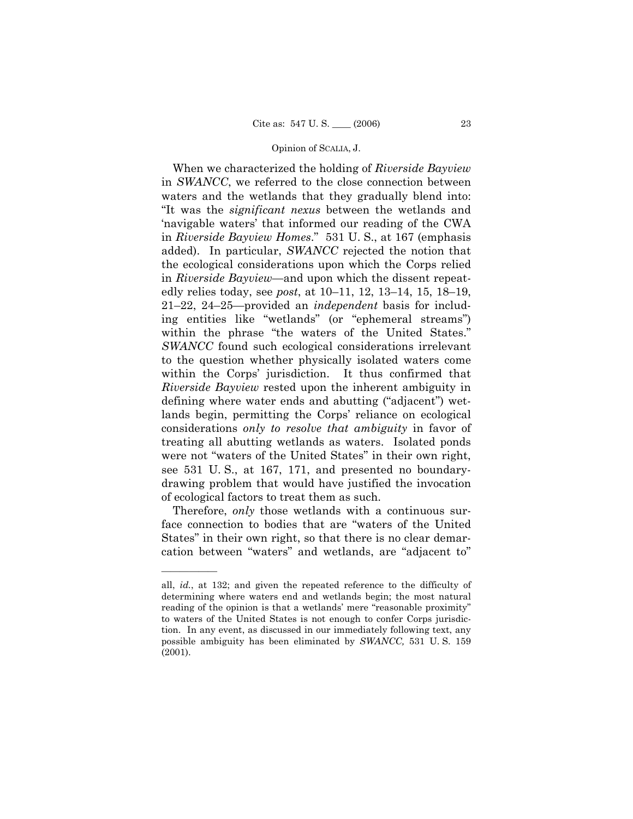When we characterized the holding of *Riverside Bayview* in *SWANCC*, we referred to the close connection between waters and the wetlands that they gradually blend into: ìIt was the *significant nexus* between the wetlands and ënavigable watersí that informed our reading of the CWA in *Riverside Bayview Homes*.î 531 U. S., at 167 (emphasis added). In particular, *SWANCC* rejected the notion that the ecological considerations upon which the Corps relied in *Riverside Bayview*—and upon which the dissent repeatedly relies today, see *post*, at 10–11, 12, 13–14, 15, 18–19, 21-22, 24-25-provided an *independent* basis for including entities like "wetlands" (or "ephemeral streams") within the phrase "the waters of the United States." *SWANCC* found such ecological considerations irrelevant to the question whether physically isolated waters come within the Corps' jurisdiction. It thus confirmed that *Riverside Bayview* rested upon the inherent ambiguity in defining where water ends and abutting ("adjacent") wetlands begin, permitting the Corps' reliance on ecological considerations *only to resolve that ambiguity* in favor of treating all abutting wetlands as waters. Isolated ponds were not "waters of the United States" in their own right, see 531 U. S., at 167, 171, and presented no boundarydrawing problem that would have justified the invocation of ecological factors to treat them as such.

 Therefore, *only* those wetlands with a continuous surface connection to bodies that are "waters of the United States" in their own right, so that there is no clear demarcation between "waters" and wetlands, are "adjacent to"

all, *id.*, at 132; and given the repeated reference to the difficulty of determining where waters end and wetlands begin; the most natural reading of the opinion is that a wetlands' mere "reasonable proximity" to waters of the United States is not enough to confer Corps jurisdiction. In any event, as discussed in our immediately following text, any possible ambiguity has been eliminated by *SWANCC,* 531 U. S. 159 (2001).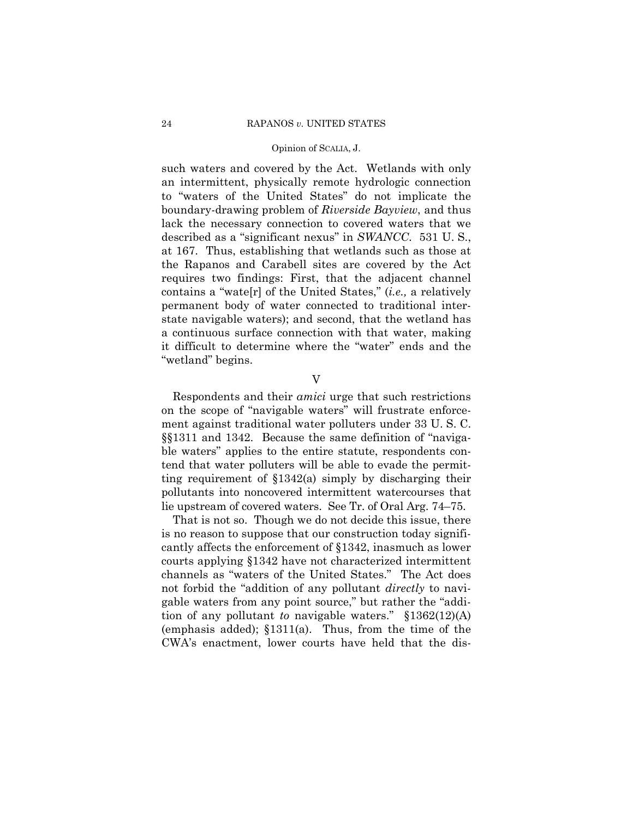such waters and covered by the Act. Wetlands with only an intermittent, physically remote hydrologic connection to "waters of the United States" do not implicate the boundary-drawing problem of *Riverside Bayview*, and thus lack the necessary connection to covered waters that we described as a "significant nexus" in *SWANCC*. 531 U.S., at 167. Thus, establishing that wetlands such as those at the Rapanos and Carabell sites are covered by the Act requires two findings: First, that the adjacent channel contains a "wate<sup>[r]</sup> of the United States," *(i.e., a relatively* permanent body of water connected to traditional interstate navigable waters); and second, that the wetland has a continuous surface connection with that water, making it difficult to determine where the "water" ends and the "wetland" begins.

V

 Respondents and their *amici* urge that such restrictions on the scope of "navigable waters" will frustrate enforcement against traditional water polluters under 33 U. S. C.  $\S$ \$1311 and 1342. Because the same definition of "navigable waters" applies to the entire statute, respondents contend that water polluters will be able to evade the permitting requirement of ß1342(a) simply by discharging their pollutants into noncovered intermittent watercourses that lie upstream of covered waters. See Tr. of Oral Arg. 74–75.

 That is not so. Though we do not decide this issue, there is no reason to suppose that our construction today significantly affects the enforcement of ß1342, inasmuch as lower courts applying ß1342 have not characterized intermittent channels as "waters of the United States." The Act does not forbid the "addition of any pollutant *directly* to navigable waters from any point source," but rather the "addition of any pollutant *to* navigable waters."  $\S 1362(12)(A)$ (emphasis added);  $$1311(a)$ . Thus, from the time of the CWAís enactment, lower courts have held that the dis-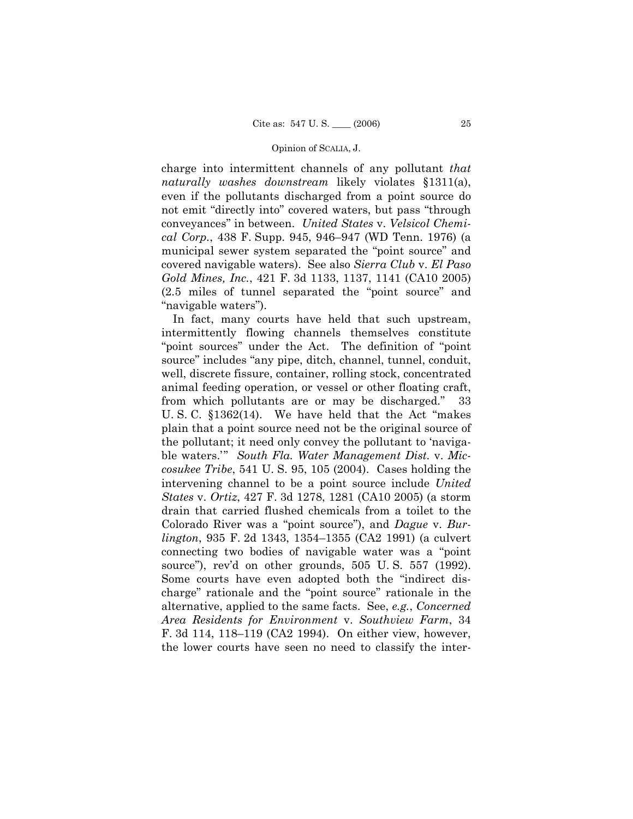charge into intermittent channels of any pollutant *that naturally washes downstream* likely violates ß1311(a), even if the pollutants discharged from a point source do not emit "directly into" covered waters, but pass "through conveyancesî in between. *United States* v. *Velsicol Chemical Corp.*, 438 F. Supp. 945, 946–947 (WD Tenn. 1976) (a municipal sewer system separated the "point source" and covered navigable waters). See also *Sierra Club* v. *El Paso Gold Mines, Inc.*, 421 F. 3d 1133, 1137, 1141 (CA10 2005)  $(2.5 \text{ miles of tunnel separated the "point source" and})$ "navigable waters").

 In fact, many courts have held that such upstream, intermittently flowing channels themselves constitute "point sources" under the Act. The definition of "point" source" includes "any pipe, ditch, channel, tunnel, conduit, well, discrete fissure, container, rolling stock, concentrated animal feeding operation, or vessel or other floating craft, from which pollutants are or may be discharged.î 33 U. S. C.  $$1362(14)$ . We have held that the Act "makes" plain that a point source need not be the original source of the pollutant; it need only convey the pollutant to 'navigable waters.<sup>20</sup> South Fla. Water Management Dist. v. Mic*cosukee Tribe*, 541 U. S. 95, 105 (2004). Cases holding the intervening channel to be a point source include *United States* v. *Ortiz*, 427 F. 3d 1278, 1281 (CA10 2005) (a storm drain that carried flushed chemicals from a toilet to the Colorado River was a "point source"), and *Dague* v. *Burlington*, 935 F. 2d 1343, 1354–1355 (CA2 1991) (a culvert connecting two bodies of navigable water was a "point" source"), rev'd on other grounds,  $505$  U.S.  $557$  (1992). Some courts have even adopted both the "indirect discharge" rationale and the "point source" rationale in the alternative, applied to the same facts. See, *e.g.*, *Concerned Area Residents for Environment* v. *Southview Farm*, 34 F. 3d 114, 118–119 (CA2 1994). On either view, however, the lower courts have seen no need to classify the inter-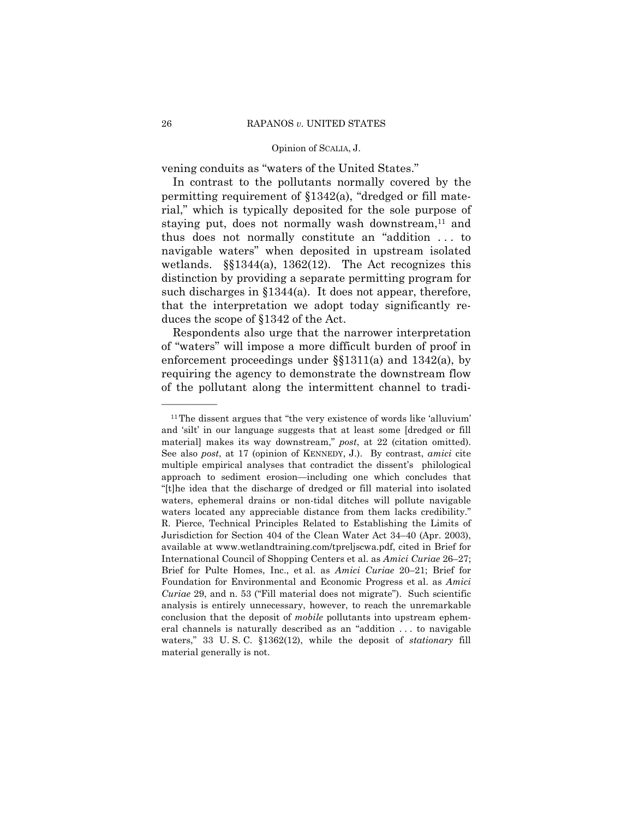vening conduits as "waters of the United States."

 In contrast to the pollutants normally covered by the permitting requirement of  $\S 1342(a)$ , "dredged or fill material," which is typically deposited for the sole purpose of staying put, does not normally wash downstream, $^{11}$  and thus does not normally constitute an "addition  $\dots$  to navigable waters" when deposited in upstream isolated wetlands.  $\S$ 1344(a), 1362(12). The Act recognizes this distinction by providing a separate permitting program for such discharges in ß1344(a). It does not appear, therefore, that the interpretation we adopt today significantly reduces the scope of ß1342 of the Act.

 Respondents also urge that the narrower interpretation of "waters" will impose a more difficult burden of proof in enforcement proceedings under ßß1311(a) and 1342(a), by requiring the agency to demonstrate the downstream flow of the pollutant along the intermittent channel to tradi-

 $11$ The dissent argues that "the very existence of words like 'alluvium' and 'silt' in our language suggests that at least some [dredged or fill] material] makes its way downstream," post, at 22 (citation omitted). See also *post*, at 17 (opinion of KENNEDY, J.). By contrast, *amici* cite multiple empirical analyses that contradict the dissent's philological approach to sediment erosion—including one which concludes that ì[t]he idea that the discharge of dredged or fill material into isolated waters, ephemeral drains or non-tidal ditches will pollute navigable waters located any appreciable distance from them lacks credibility." R. Pierce, Technical Principles Related to Establishing the Limits of Jurisdiction for Section 404 of the Clean Water Act 34–40 (Apr. 2003), available at www.wetlandtraining.com/tpreljscwa.pdf, cited in Brief for International Council of Shopping Centers et al. as *Amici Curiae* 26–27; Brief for Pulte Homes, Inc., et al. as *Amici Curiae* 20–21; Brief for Foundation for Environmental and Economic Progress et al. as *Amici Curiae* 29, and n. 53 ("Fill material does not migrate"). Such scientific analysis is entirely unnecessary, however, to reach the unremarkable conclusion that the deposit of *mobile* pollutants into upstream ephemeral channels is naturally described as an "addition  $\dots$  to navigable waters," 33 U.S.C. §1362(12), while the deposit of *stationary* fill material generally is not.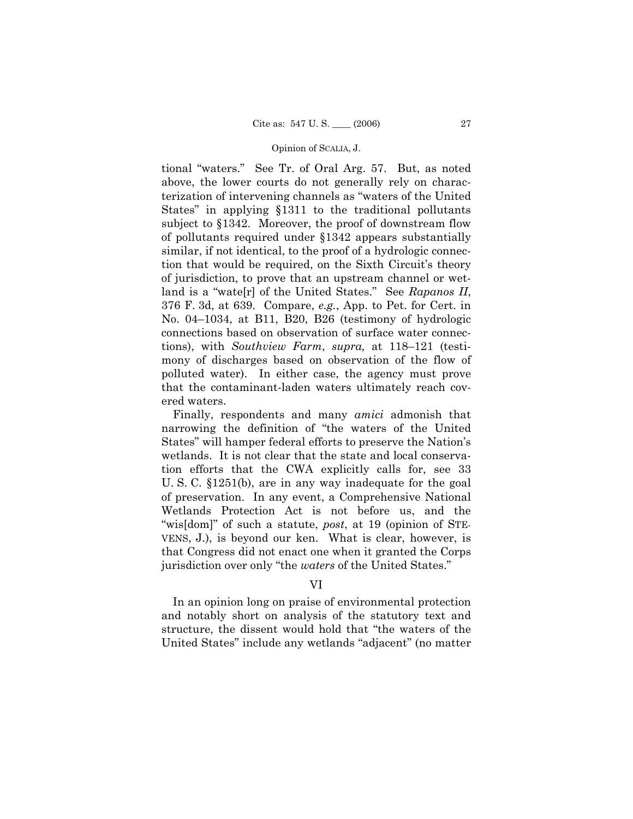tional "waters." See Tr. of Oral Arg. 57. But, as noted above, the lower courts do not generally rely on characterization of intervening channels as "waters of the United States" in applying §1311 to the traditional pollutants subject to §1342. Moreover, the proof of downstream flow of pollutants required under ß1342 appears substantially similar, if not identical, to the proof of a hydrologic connection that would be required, on the Sixth Circuit's theory of jurisdiction, to prove that an upstream channel or wetland is a "wate[r] of the United States." See *Rapanos II*, 376 F. 3d, at 639. Compare, *e.g.*, App. to Pet. for Cert. in No. 04–1034, at B11, B20, B26 (testimony of hydrologic connections based on observation of surface water connections), with *Southview Farm*, *supra*, at 118–121 (testimony of discharges based on observation of the flow of polluted water). In either case, the agency must prove that the contaminant-laden waters ultimately reach covered waters.

 Finally, respondents and many *amici* admonish that narrowing the definition of "the waters of the United States" will hamper federal efforts to preserve the Nation's wetlands. It is not clear that the state and local conservation efforts that the CWA explicitly calls for, see 33 U. S. C. ß1251(b), are in any way inadequate for the goal of preservation. In any event, a Comprehensive National Wetlands Protection Act is not before us, and the "wis[dom]" of such a statute, *post*, at 19 (opinion of STE-VENS, J.), is beyond our ken. What is clear, however, is that Congress did not enact one when it granted the Corps jurisdiction over only "the *waters* of the United States."

## VI

 In an opinion long on praise of environmental protection and notably short on analysis of the statutory text and structure, the dissent would hold that "the waters of the United States" include any wetlands "adjacent" (no matter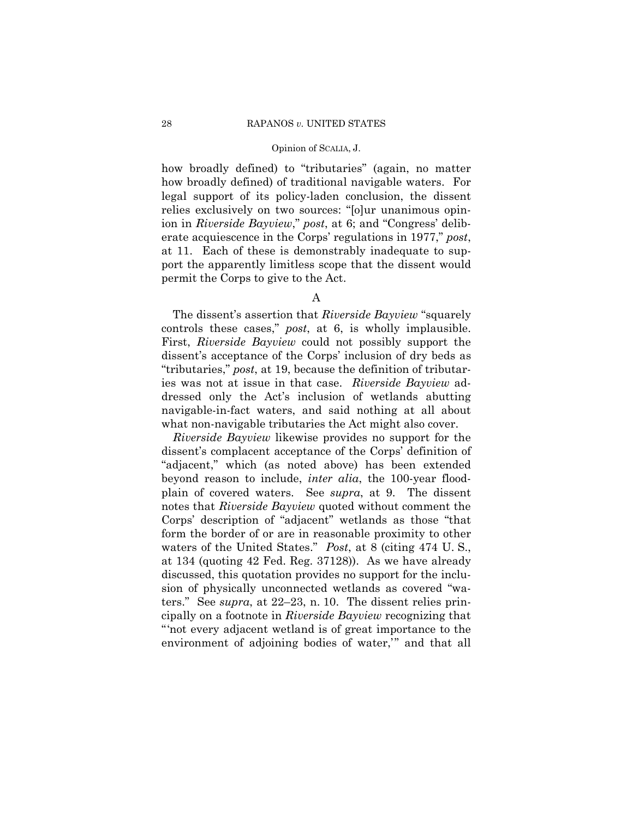how broadly defined) to "tributaries" (again, no matter how broadly defined) of traditional navigable waters. For legal support of its policy-laden conclusion, the dissent relies exclusively on two sources: "[o]ur unanimous opinion in *Riverside Bayview*," *post*, at 6; and "Congress' deliberate acquiescence in the Corps' regulations in 1977," *post*, at 11. Each of these is demonstrably inadequate to support the apparently limitless scope that the dissent would permit the Corps to give to the Act.

The dissent's assertion that *Riverside Bayview* "squarely" controls these cases," *post*, at 6, is wholly implausible. First, *Riverside Bayview* could not possibly support the dissent's acceptance of the Corps' inclusion of dry beds as ìtributaries,î *post*, at 19, because the definition of tributaries was not at issue in that case. *Riverside Bayview* addressed only the Act's inclusion of wetlands abutting navigable-in-fact waters, and said nothing at all about what non-navigable tributaries the Act might also cover.

*Riverside Bayview* likewise provides no support for the dissent's complacent acceptance of the Corps' definition of ìadjacent,î which (as noted above) has been extended beyond reason to include, *inter alia*, the 100-year floodplain of covered waters. See *supra*, at 9. The dissent notes that *Riverside Bayview* quoted without comment the Corps' description of "adjacent" wetlands as those "that form the border of or are in reasonable proximity to other waters of the United States.î *Post*, at 8 (citing 474 U. S., at 134 (quoting 42 Fed. Reg. 37128)). As we have already discussed, this quotation provides no support for the inclusion of physically unconnected wetlands as covered "waters." See *supra*, at  $22-23$ , n. 10. The dissent relies principally on a footnote in *Riverside Bayview* recognizing that ìënot every adjacent wetland is of great importance to the environment of adjoining bodies of water," and that all

A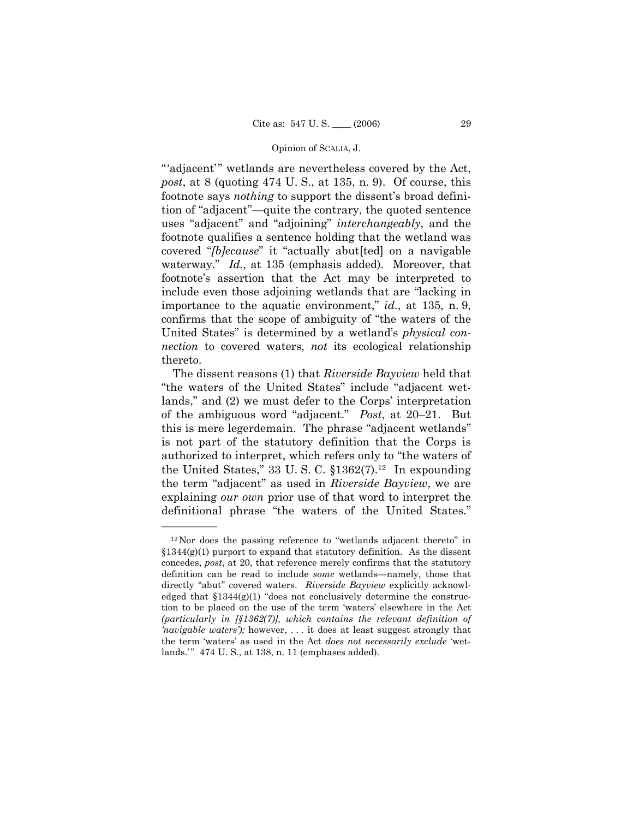"adjacent" wetlands are nevertheless covered by the Act, *post*, at 8 (quoting 474 U. S., at 135, n. 9). Of course, this footnote says *nothing* to support the dissent's broad definition of "adjacent"—quite the contrary, the quoted sentence uses "adjacent" and "adjoining" *interchangeably*, and the footnote qualifies a sentence holding that the wetland was covered "*[b]ecause*" it "actually abut[ted] on a navigable waterway." *Id.*, at 135 (emphasis added). Moreover, that footnoteís assertion that the Act may be interpreted to include even those adjoining wetlands that are "lacking in importance to the aquatic environment," *id.*, at 135, n. 9, confirms that the scope of ambiguity of "the waters of the United States" is determined by a wetland's *physical connection* to covered waters, *not* its ecological relationship thereto.

 The dissent reasons (1) that *Riverside Bayview* held that "the waters of the United States" include "adjacent wetlands," and  $(2)$  we must defer to the Corps' interpretation of the ambiguous word "adjacent." *Post*, at 20–21. But this is mere legerdemain. The phrase "adjacent wetlands" is not part of the statutory definition that the Corps is authorized to interpret, which refers only to "the waters of the United States," 33 U. S. C.  $$1362(7).^{12}$  In expounding the term "adjacent" as used in *Riverside Bayview*, we are explaining *our own* prior use of that word to interpret the definitional phrase "the waters of the United States."

 $12$ Nor does the passing reference to "wetlands adjacent thereto" in  $$1344(g)(1)$  purport to expand that statutory definition. As the dissent concedes, *post*, at 20, that reference merely confirms that the statutory definition can be read to include *some* wetlands—namely, those that directly "abut" covered waters. Riverside Bayview explicitly acknowledged that  $$1344(g)(1)$  "does not conclusively determine the construction to be placed on the use of the term 'waters' elsewhere in the Act *(particularly in [ß1362(7)], which contains the relevant definition of havigable waters'*); however, ... it does at least suggest strongly that the term 'waters' as used in the Act *does not necessarily exclude* 'wetlands.'" 474 U.S., at 138, n. 11 (emphases added).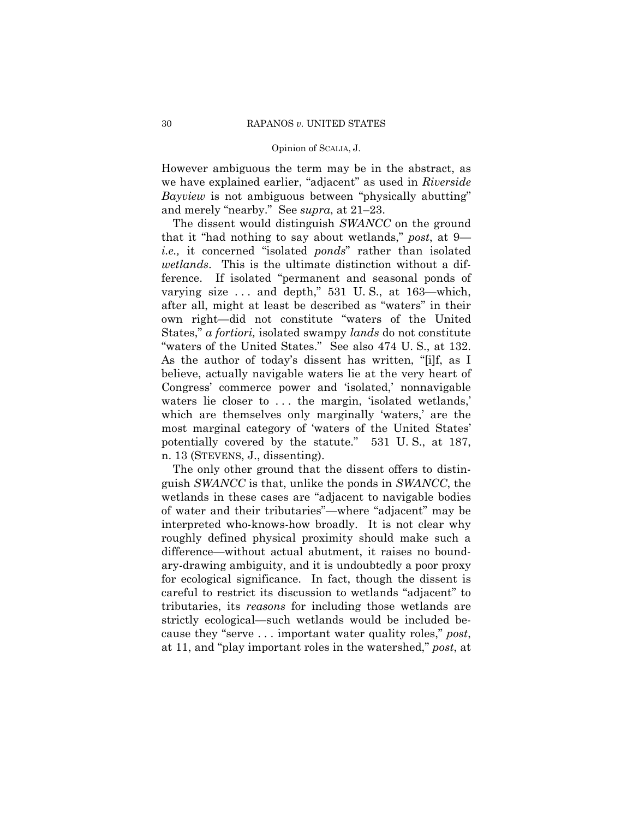However ambiguous the term may be in the abstract, as we have explained earlier, "adjacent" as used in *Riverside Bayview* is not ambiguous between "physically abutting" and merely "nearby." See *supra*, at 21–23.

 The dissent would distinguish *SWANCC* on the ground that it "had nothing to say about wetlands," post, at 9 *i.e.*, it concerned "isolated *ponds*" rather than isolated *wetlands*. This is the ultimate distinction without a difference. If isolated "permanent and seasonal ponds of varying size  $\ldots$  and depth," 531 U.S., at 163—which, after all, might at least be described as "waters" in their own right—did not constitute "waters of the United States," *a fortiori*, isolated swampy *lands* do not constitute "waters of the United States." See also 474 U.S., at 132. As the author of today's dissent has written, "[i]f, as I believe, actually navigable waters lie at the very heart of Congress' commerce power and 'isolated,' nonnavigable waters lie closer to  $\dots$  the margin, 'isolated wetlands,' which are themselves only marginally 'waters,' are the most marginal category of 'waters of the United States' potentially covered by the statute." 531 U.S., at 187, n. 13 (STEVENS, J., dissenting).

 The only other ground that the dissent offers to distinguish *SWANCC* is that, unlike the ponds in *SWANCC*, the wetlands in these cases are "adjacent to navigable bodies of water and their tributaries"—where "adjacent" may be interpreted who-knows-how broadly. It is not clear why roughly defined physical proximity should make such a difference—without actual abutment, it raises no boundary-drawing ambiguity, and it is undoubtedly a poor proxy for ecological significance. In fact, though the dissent is careful to restrict its discussion to wetlands "adjacent" to tributaries, its *reasons* for including those wetlands are strictly ecological—such wetlands would be included because they "serve . . . important water quality roles," post, at 11, and "play important roles in the watershed," *post*, at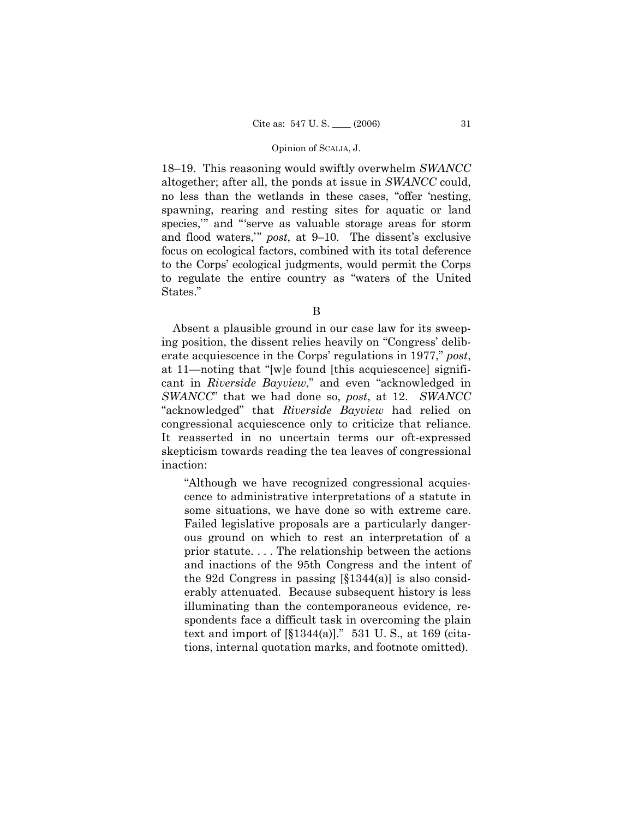18–19. This reasoning would swiftly overwhelm SWANCC altogether; after all, the ponds at issue in SWANCC could, no less than the wetlands in these cases, "offer 'nesting, spawning, rearing and resting sites for aquatic or land species," and "serve as valuable storage areas for storm and flood waters," post, at 9-10. The dissent's exclusive focus on ecological factors, combined with its total deference to the Corps' ecological judgments, would permit the Corps to regulate the entire country as "waters of the United States."

B

Absent a plausible ground in our case law for its sweeping position, the dissent relies heavily on "Congress' deliberate acquiescence in the Corps' regulations in 1977," post, at 11—noting that "[w]e found [this acquiescence] significant in Riverside Bayview," and even "acknowledged in SWANCC" that we had done so, post, at 12. SWANCC "acknowledged" that Riverside Bayview had relied on congressional acquiescence only to criticize that reliance. It reasserted in no uncertain terms our oft-expressed skepticism towards reading the tea leaves of congressional inaction:

"Although we have recognized congressional acquiescence to administrative interpretations of a statute in some situations, we have done so with extreme care. Failed legislative proposals are a particularly dangerous ground on which to rest an interpretation of a prior statute.... The relationship between the actions and inactions of the 95th Congress and the intent of the 92d Congress in passing  $[\S 1344(a)]$  is also considerably attenuated. Because subsequent history is less illuminating than the contemporaneous evidence, respondents face a difficult task in overcoming the plain text and import of  $[\S 1344(a)]$ ." 531 U.S., at 169 (citations, internal quotation marks, and footnote omitted).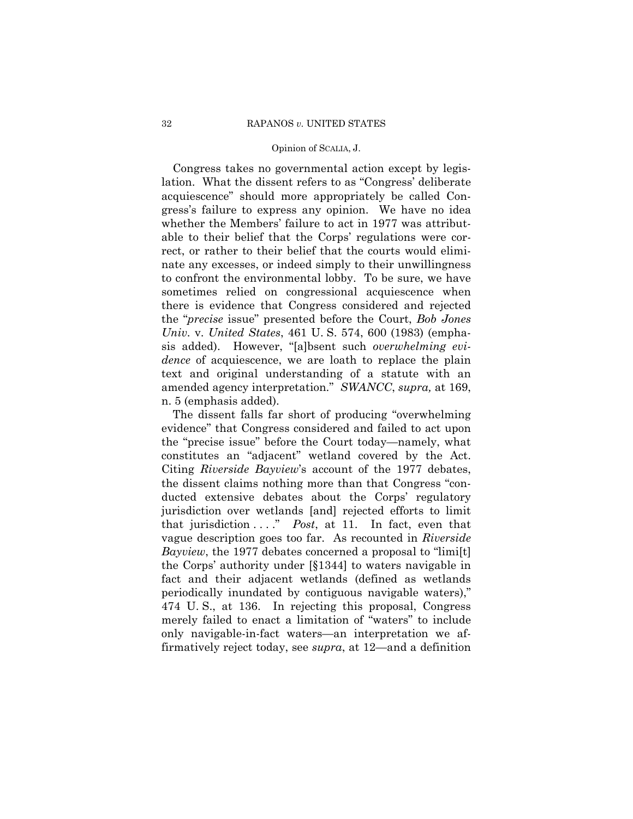Congress takes no governmental action except by legislation. What the dissent refers to as "Congress' deliberate acquiescenceî should more appropriately be called Congressís failure to express any opinion. We have no idea whether the Members' failure to act in 1977 was attributable to their belief that the Corps' regulations were correct, or rather to their belief that the courts would eliminate any excesses, or indeed simply to their unwillingness to confront the environmental lobby. To be sure, we have sometimes relied on congressional acquiescence when there is evidence that Congress considered and rejected the *"precise* issue" presented before the Court, *Bob Jones Univ.* v. *United States*, 461 U. S. 574, 600 (1983) (emphasis added). However, "[a]bsent such *overwhelming evidence* of acquiescence, we are loath to replace the plain text and original understanding of a statute with an amended agency interpretation.î *SWANCC*, *supra,* at 169, n. 5 (emphasis added).

The dissent falls far short of producing "overwhelming" evidence" that Congress considered and failed to act upon the "precise issue" before the Court today—namely, what constitutes an "adjacent" wetland covered by the Act. Citing *Riverside Bayview*ís account of the 1977 debates, the dissent claims nothing more than that Congress "conducted extensive debates about the Corps' regulatory jurisdiction over wetlands [and] rejected efforts to limit that jurisdiction . . . .î *Post*, at 11. In fact, even that vague description goes too far. As recounted in *Riverside Bayview*, the 1977 debates concerned a proposal to "limi[t] the Corps' authority under [§1344] to waters navigable in fact and their adjacent wetlands (defined as wetlands periodically inundated by contiguous navigable waters), 474 U. S., at 136. In rejecting this proposal, Congress merely failed to enact a limitation of "waters" to include only navigable-in-fact waters—an interpretation we affirmatively reject today, see *supra*, at 12—and a definition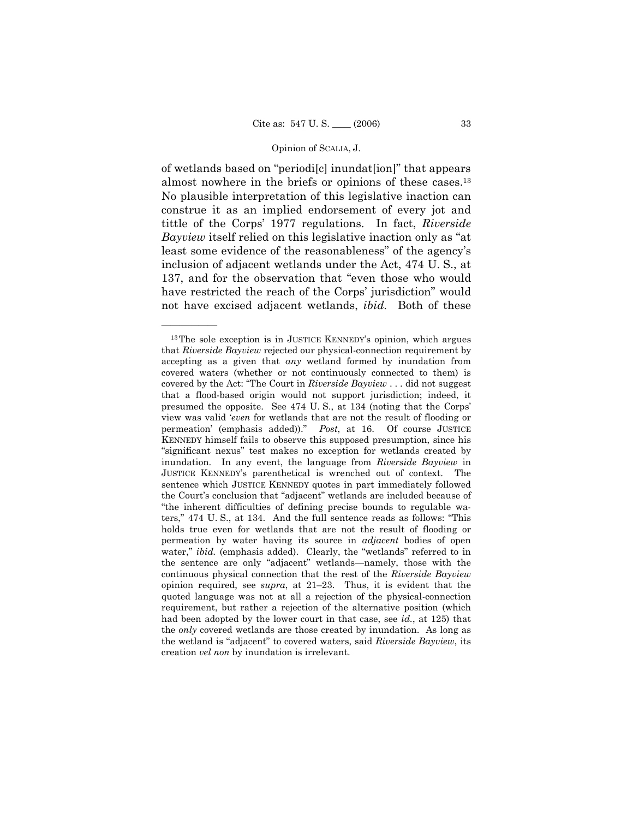of wetlands based on "periodilc] inundation]" that appears almost nowhere in the briefs or opinions of these cases.13 No plausible interpretation of this legislative inaction can construe it as an implied endorsement of every jot and tittle of the Corps' 1977 regulations. In fact, *Riverside Bayview* itself relied on this legislative inaction only as "at least some evidence of the reasonableness" of the agency's inclusion of adjacent wetlands under the Act, 474 U. S., at 137, and for the observation that "even those who would have restricted the reach of the Corps' jurisdiction" would not have excised adjacent wetlands, *ibid.* Both of these

 $13$ The sole exception is in JUSTICE KENNEDY's opinion, which argues that *Riverside Bayview* rejected our physical-connection requirement by accepting as a given that *any* wetland formed by inundation from covered waters (whether or not continuously connected to them) is covered by the Act: "The Court in *Riverside Bayview* . . . did not suggest that a flood-based origin would not support jurisdiction; indeed, it presumed the opposite. See 474 U. S., at 134 (noting that the Corpsí view was valid ë*even* for wetlands that are not the result of flooding or permeationí (emphasis added)).î *Post*, at 16. Of course JUSTICE KENNEDY himself fails to observe this supposed presumption, since his "significant nexus" test makes no exception for wetlands created by inundation. In any event, the language from *Riverside Bayview* in JUSTICE KENNEDYís parenthetical is wrenched out of context. The sentence which JUSTICE KENNEDY quotes in part immediately followed the Court's conclusion that "adjacent" wetlands are included because of ìthe inherent difficulties of defining precise bounds to regulable waters," 474 U.S., at 134. And the full sentence reads as follows: "This holds true even for wetlands that are not the result of flooding or permeation by water having its source in *adjacent* bodies of open water," *ibid.* (emphasis added). Clearly, the "wetlands" referred to in the sentence are only "adjacent" wetlands—namely, those with the continuous physical connection that the rest of the *Riverside Bayview* opinion required, see *supra*, at 21-23. Thus, it is evident that the quoted language was not at all a rejection of the physical-connection requirement, but rather a rejection of the alternative position (which had been adopted by the lower court in that case, see *id.*, at 125) that the *only* covered wetlands are those created by inundation. As long as the wetland is "adjacent" to covered waters, said *Riverside Bayview*, its creation *vel non* by inundation is irrelevant.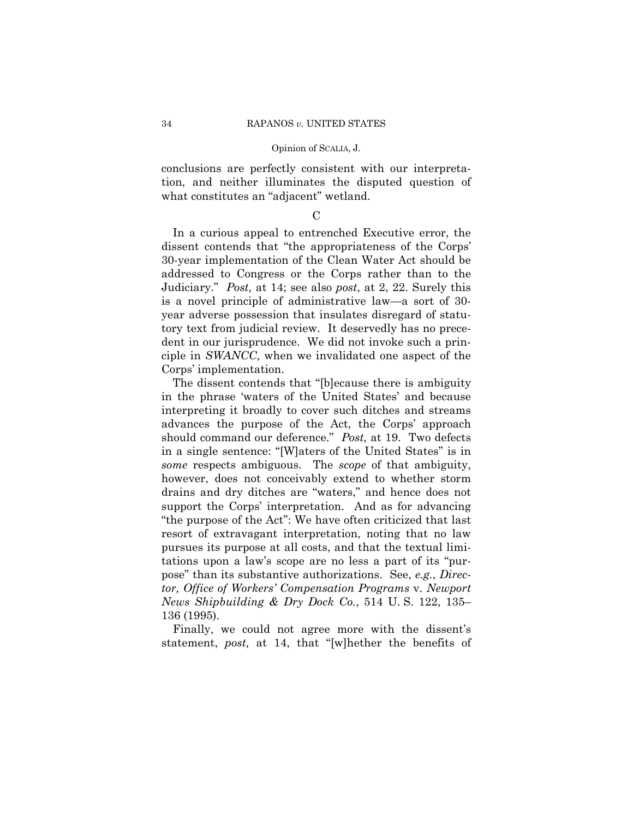conclusions are perfectly consistent with our interpretation, and neither illuminates the disputed question of what constitutes an "adjacent" wetland.

 $\mathcal{C}$ 

 In a curious appeal to entrenched Executive error, the dissent contends that "the appropriateness of the Corps' 30-year implementation of the Clean Water Act should be addressed to Congress or the Corps rather than to the Judiciary.î *Post,* at 14; see also *post*, at 2, 22. Surely this is a novel principle of administrative law—a sort of 30year adverse possession that insulates disregard of statutory text from judicial review. It deservedly has no precedent in our jurisprudence. We did not invoke such a principle in *SWANCC*, when we invalidated one aspect of the Corps' implementation.

The dissent contends that "[b]ecause there is ambiguity in the phrase 'waters of the United States' and because interpreting it broadly to cover such ditches and streams advances the purpose of the Act, the Corps' approach should command our deference.î *Post,* at 19. Two defects in a single sentence: "[W]aters of the United States" is in *some* respects ambiguous. The *scope* of that ambiguity, however, does not conceivably extend to whether storm drains and dry ditches are "waters," and hence does not support the Corps' interpretation. And as for advancing "the purpose of the Act": We have often criticized that last resort of extravagant interpretation, noting that no law pursues its purpose at all costs, and that the textual limitations upon a law's scope are no less a part of its "purposeî than its substantive authorizations. See, *e.g.*, *Director, Office of Workersí Compensation Programs* v. *Newport News Shipbuilding & Dry Dock Co.*, 514 U.S. 122, 135– 136 (1995).

Finally, we could not agree more with the dissent's statement, *post*, at 14, that "[w]hether the benefits of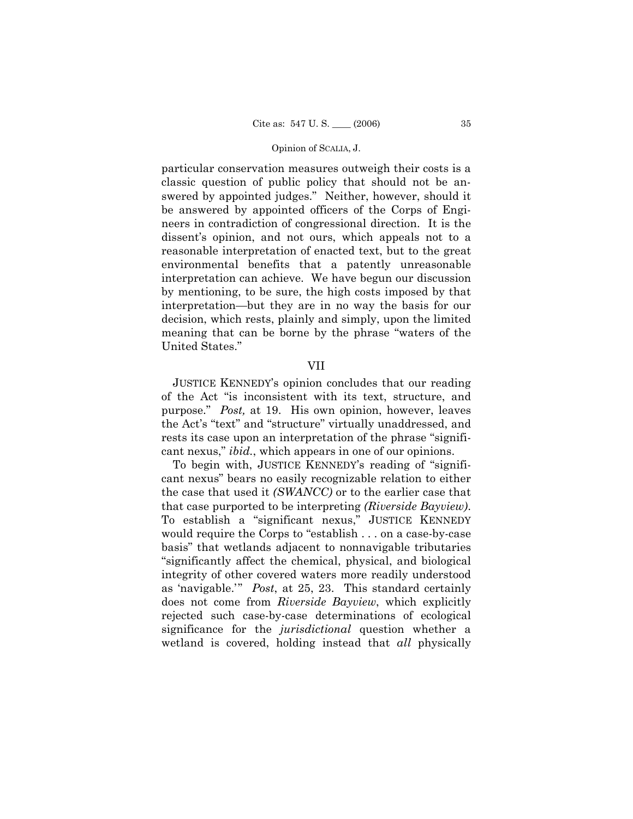particular conservation measures outweigh their costs is a classic question of public policy that should not be answered by appointed judges." Neither, however, should it be answered by appointed officers of the Corps of Engineers in contradiction of congressional direction. It is the dissent's opinion, and not ours, which appeals not to a reasonable interpretation of enacted text, but to the great environmental benefits that a patently unreasonable interpretation can achieve. We have begun our discussion by mentioning, to be sure, the high costs imposed by that interpretation—but they are in no way the basis for our decision, which rests, plainly and simply, upon the limited meaning that can be borne by the phrase "waters of the United States."

## VII

 JUSTICE KENNEDYís opinion concludes that our reading of the Act "is inconsistent with its text, structure, and purpose.î *Post,* at 19. His own opinion, however, leaves the Act's "text" and "structure" virtually unaddressed, and rests its case upon an interpretation of the phrase "significant nexus," *ibid.*, which appears in one of our opinions.

To begin with, JUSTICE KENNEDY's reading of "significant nexusî bears no easily recognizable relation to either the case that used it *(SWANCC)* or to the earlier case that that case purported to be interpreting *(Riverside Bayview)*. To establish a "significant nexus," JUSTICE KENNEDY would require the Corps to "establish . . . on a case-by-case basis" that wetlands adjacent to nonnavigable tributaries ìsignificantly affect the chemical, physical, and biological integrity of other covered waters more readily understood as 'navigable.'" *Post*, at 25, 23. This standard certainly does not come from *Riverside Bayview*, which explicitly rejected such case-by-case determinations of ecological significance for the *jurisdictional* question whether a wetland is covered, holding instead that *all* physically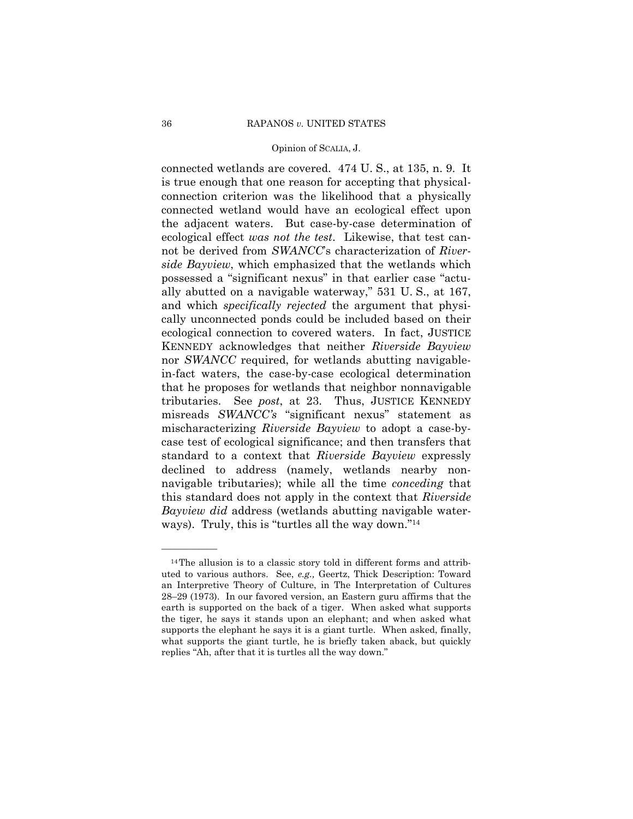connected wetlands are covered. 474 U. S., at 135, n. 9. It is true enough that one reason for accepting that physicalconnection criterion was the likelihood that a physically connected wetland would have an ecological effect upon the adjacent waters. But case-by-case determination of ecological effect *was not the test*. Likewise, that test cannot be derived from *SWANCC*<sup>s</sup> characterization of *Riverside Bayview*, which emphasized that the wetlands which possessed a "significant nexus" in that earlier case "actually abutted on a navigable waterway," 531 U.S., at 167, and which *specifically rejected* the argument that physically unconnected ponds could be included based on their ecological connection to covered waters. In fact, JUSTICE KENNEDY acknowledges that neither *Riverside Bayview* nor *SWANCC* required, for wetlands abutting navigablein-fact waters, the case-by-case ecological determination that he proposes for wetlands that neighbor nonnavigable tributaries. See *post*, at 23. Thus, JUSTICE KENNEDY misreads *SWANCC's* "significant nexus" statement as mischaracterizing *Riverside Bayview* to adopt a case-bycase test of ecological significance; and then transfers that standard to a context that *Riverside Bayview* expressly declined to address (namely, wetlands nearby nonnavigable tributaries); while all the time *conceding* that this standard does not apply in the context that *Riverside Bayview did* address (wetlands abutting navigable waterways). Truly, this is "turtles all the way down." $14$ 

<sup>&</sup>lt;sup>14</sup>The allusion is to a classic story told in different forms and attributed to various authors. See, *e.g.,* Geertz, Thick Description: Toward an Interpretive Theory of Culture, in The Interpretation of Cultures  $28-29$  (1973). In our favored version, an Eastern guru affirms that the earth is supported on the back of a tiger. When asked what supports the tiger, he says it stands upon an elephant; and when asked what supports the elephant he says it is a giant turtle. When asked, finally, what supports the giant turtle, he is briefly taken aback, but quickly replies "Ah, after that it is turtles all the way down."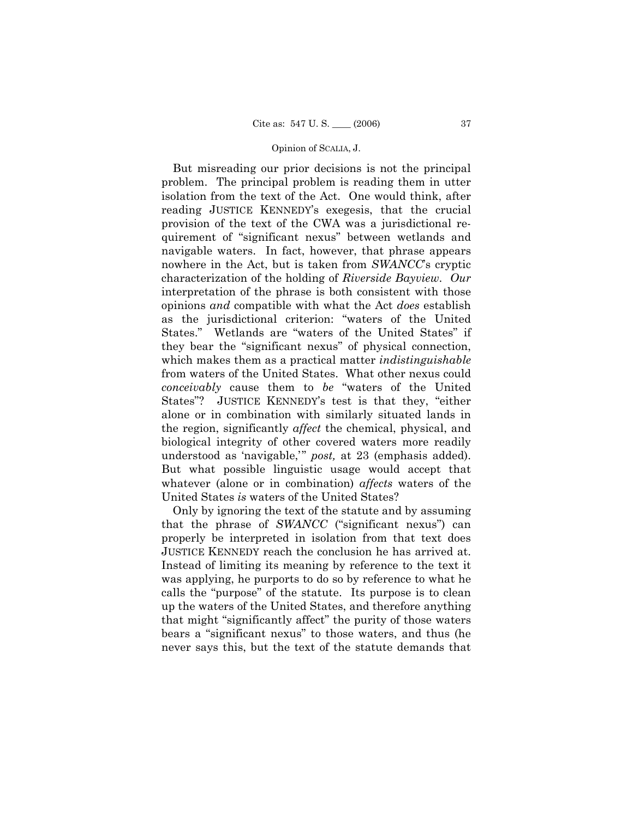But misreading our prior decisions is not the principal problem. The principal problem is reading them in utter isolation from the text of the Act. One would think, after reading JUSTICE KENNEDYís exegesis, that the crucial provision of the text of the CWA was a jurisdictional requirement of "significant nexus" between wetlands and navigable waters. In fact, however, that phrase appears nowhere in the Act, but is taken from *SWANCC*'s cryptic characterization of the holding of *Riverside Bayview*. *Our* interpretation of the phrase is both consistent with those opinions *and* compatible with what the Act *does* establish as the jurisdictional criterion: "waters of the United States." Wetlands are "waters of the United States" if they bear the "significant nexus" of physical connection, which makes them as a practical matter *indistinguishable*  from waters of the United States. What other nexus could *conceivably* cause them to *be* "waters of the United States"? JUSTICE KENNEDY's test is that they, "either alone or in combination with similarly situated lands in the region, significantly *affect* the chemical, physical, and biological integrity of other covered waters more readily understood as 'navigable,'" *post*, at 23 (emphasis added). But what possible linguistic usage would accept that whatever (alone or in combination) *affects* waters of the United States *is* waters of the United States?

 Only by ignoring the text of the statute and by assuming that the phrase of *SWANCC* ("significant nexus") can properly be interpreted in isolation from that text does JUSTICE KENNEDY reach the conclusion he has arrived at. Instead of limiting its meaning by reference to the text it was applying, he purports to do so by reference to what he calls the "purpose" of the statute. Its purpose is to clean up the waters of the United States, and therefore anything that might "significantly affect" the purity of those waters bears a "significant nexus" to those waters, and thus (he never says this, but the text of the statute demands that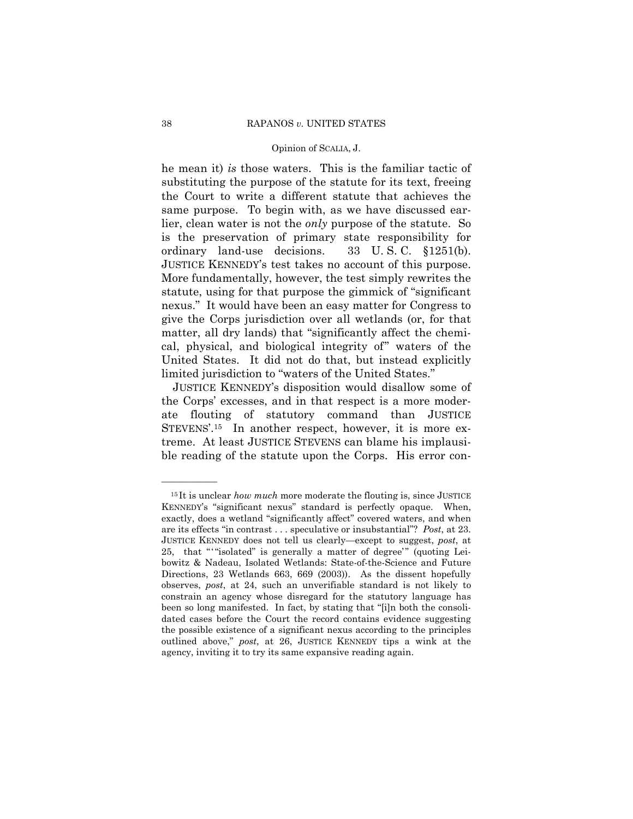he mean it) is those waters. This is the familiar tactic of substituting the purpose of the statute for its text, freeing the Court to write a different statute that achieves the same purpose. To begin with, as we have discussed earlier, clean water is not the *only* purpose of the statute. So is the preservation of primary state responsibility for ordinary land-use decisions. 33 U.S.C.  $$1251(b)$ . JUSTICE KENNEDY's test takes no account of this purpose. More fundamentally, however, the test simply rewrites the statute, using for that purpose the gimmick of "significant" nexus." It would have been an easy matter for Congress to give the Corps jurisdiction over all wetlands (or, for that matter, all dry lands) that "significantly affect the chemical, physical, and biological integrity of waters of the United States. It did not do that, but instead explicitly limited jurisdiction to "waters of the United States."

JUSTICE KENNEDY's disposition would disallow some of the Corps' excesses, and in that respect is a more moderate flouting of statutory command than JUSTICE STEVENS'.<sup>15</sup> In another respect, however, it is more extreme. At least JUSTICE STEVENS can blame his implausible reading of the statute upon the Corps. His error con-

 $15$  It is unclear *how much* more moderate the flouting is, since JUSTICE KENNEDY's "significant nexus" standard is perfectly opaque. When, exactly, does a wetland "significantly affect" covered waters, and when are its effects "in contrast... speculative or insubstantial"? Post, at 23. JUSTICE KENNEDY does not tell us clearly—except to suggest, post, at 25, that ""isolated" is generally a matter of degree" (quoting Leibowitz & Nadeau, Isolated Wetlands: State-of-the-Science and Future Directions, 23 Wetlands 663, 669 (2003)). As the dissent hopefully observes, post, at 24, such an unverifiable standard is not likely to constrain an agency whose disregard for the statutory language has been so long manifested. In fact, by stating that "[i]n both the consolidated cases before the Court the record contains evidence suggesting the possible existence of a significant nexus according to the principles outlined above," post, at 26, JUSTICE KENNEDY tips a wink at the agency, inviting it to try its same expansive reading again.